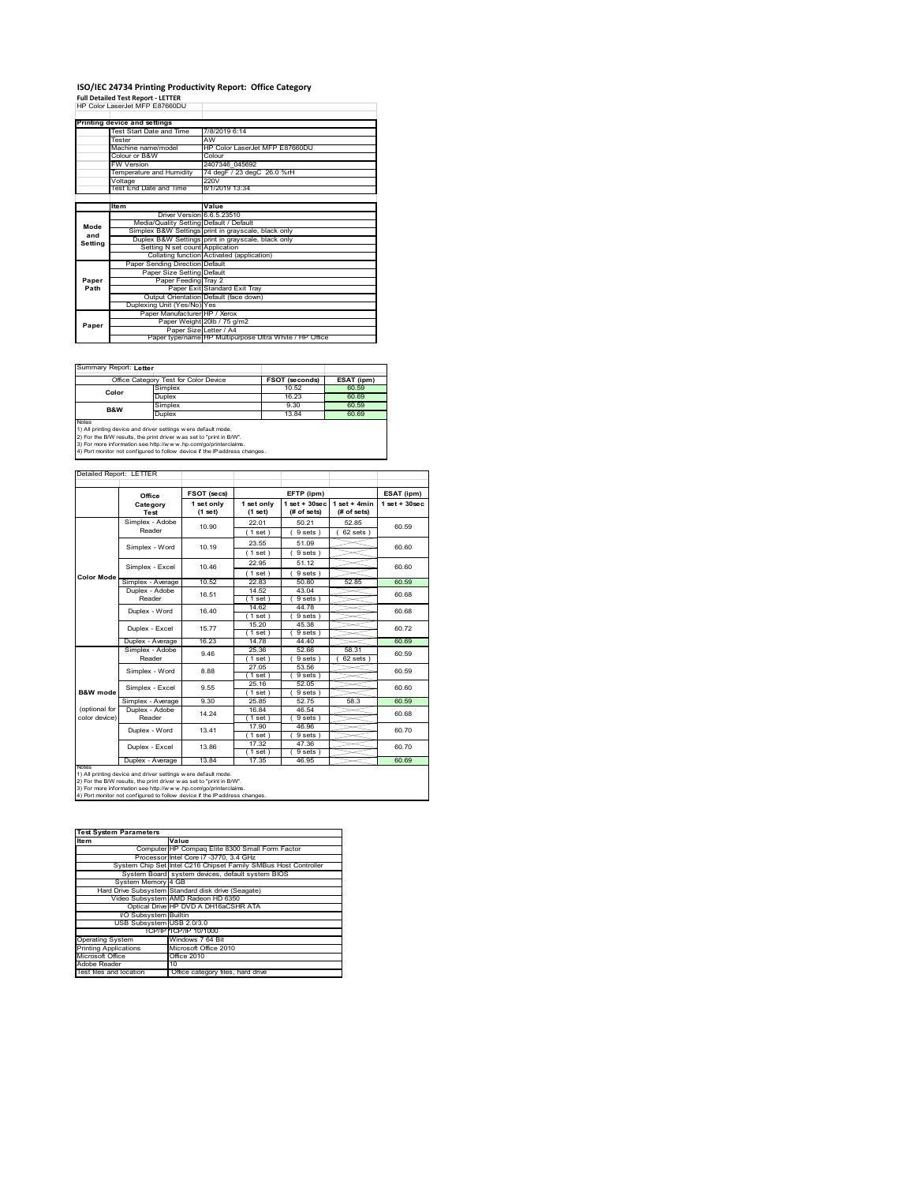# **ISO/IEC 24734 Printing Productivity Report: Office Category Full Detailed Test Report ‐ LETTER** HP Color LaserJet MFP E87660DU

|         | Printing device and settings            |                                                         |
|---------|-----------------------------------------|---------------------------------------------------------|
|         | Test Start Date and Time                | 7/8/2019 6:14                                           |
|         | Tester                                  | AW                                                      |
|         | Machine name/model                      | HP Color Laser let MFP F87660DU                         |
|         | Colour or B&W                           | Colour                                                  |
|         | <b>FW Version</b>                       | 2407346 045692                                          |
|         | Temperature and Humidity                | 74 degF / 23 degC 26.0 %rH                              |
|         | Voltage                                 | 220V                                                    |
|         | Test End Date and Time                  | 8/1/2019 13:34                                          |
|         |                                         |                                                         |
|         | ltem                                    | Value                                                   |
|         | Driver Version 6.6.5.23510              |                                                         |
| Mode    | Media/Quality Setting Default / Default |                                                         |
| and     |                                         | Simplex B&W Settings print in grayscale, black only     |
| Setting |                                         | Duplex B&W Settings print in grayscale, black only      |
|         | Setting N set count Application         |                                                         |
|         |                                         | Collating function Activated (application)              |
|         | Paper Sending Direction Default         |                                                         |
|         | Paper Size Setting Default              |                                                         |
| Paper   | Paper Feeding Tray 2                    |                                                         |
| Path    |                                         | Paper Exit Standard Exit Tray                           |
|         |                                         | Output Orientation Default (face down)                  |
|         | Duplexing Unit (Yes/No) Yes             |                                                         |
|         | Paper Manufacturer HP / Xerox           |                                                         |
| Paper   |                                         | Paper Weight 20lb / 75 g/m2                             |
|         | Paper Size Letter / A4                  |                                                         |
|         |                                         | Paper type/name HP Multipurpose Ultra White / HP Office |

Ī.

٦

Summary Report: **Letter**

| Office Category Test for Color Device                               |                                                                                | <b>FSOT (seconds)</b> | ESAT (ipm) |  |  |
|---------------------------------------------------------------------|--------------------------------------------------------------------------------|-----------------------|------------|--|--|
| Color                                                               | Simplex                                                                        | 10.52                 | 60.59      |  |  |
|                                                                     | Duplex                                                                         | 16.23                 | 60.69      |  |  |
| B&W                                                                 | Simplex                                                                        | 9.30                  | 60.59      |  |  |
|                                                                     | Duplex                                                                         | 13.84                 | 60.69      |  |  |
| Notes                                                               |                                                                                |                       |            |  |  |
| 1) All printing device and driver settings w ere default mode.      |                                                                                |                       |            |  |  |
| 2) For the B/W results, the print driver was set to "print in B/W". |                                                                                |                       |            |  |  |
|                                                                     | 195. The more information one letter (horrors) has a contractorizational dimen |                       |            |  |  |

3) For more information see http://w w w .hp.com/go/printerclaims. 4) Port monitor not configured to follow device if the IP address changes.

| Detailed Report: LETTER |                   |                       |                       |                                  |                               |                   |
|-------------------------|-------------------|-----------------------|-----------------------|----------------------------------|-------------------------------|-------------------|
|                         | Office            | FSOT (secs)           |                       | EFTP (ipm)                       |                               | ESAT (ipm)        |
|                         | Category<br>Test  | 1 set only<br>(1 set) | 1 set only<br>(1 set) | $1$ set $+30$ sec<br>(# of sets) | $1$ set + 4min<br>(# of sets) | $1$ set $+30$ sec |
|                         | Simplex - Adobe   | 10.90                 | 22.01                 | 50 21                            | 52 85                         | 60.59             |
|                         | Reader            |                       | $1$ set)              | 9 sets)                          | $62$ sets $)$                 |                   |
|                         | Simplex - Word    | 10.19                 | 23.55                 | 51.09                            |                               | 60.60             |
|                         |                   |                       | $1$ set)              | 9 sets)                          |                               |                   |
|                         | Simplex - Excel   | 10.46                 | 22.95                 | 51.12                            |                               | 60.60             |
| <b>Color Mode</b>       |                   |                       | (1 set)               | 9 sets                           |                               |                   |
|                         | Simplex - Average | 10.52                 | 22.83                 | 50.80                            | 52.85                         | 60.59             |
|                         | Duplex - Adobe    | 16.51                 | 14.52                 | 43.04                            |                               | 60.68             |
|                         | Reader            |                       | $1$ set)              | 9 sets)                          |                               |                   |
|                         | Duplex - Word     | 16.40                 | 14.62                 | 44.78                            |                               | 60.68             |
|                         |                   |                       | $1$ set)              | 9 sets                           |                               |                   |
|                         | Duplex - Excel    | 15.77                 | 15.20                 | 45.38                            |                               | 60.72             |
|                         |                   |                       | $1$ set)              | 9 sets)                          |                               |                   |
|                         | Duplex - Average  | 16.23                 | 14.78                 | 44.40                            |                               | 60.69             |
|                         | Simplex - Adobe   | 9.46                  | 25.36                 | 52.66                            | 58.31                         | 60.59             |
|                         | Reader            |                       | $1$ set)              | 9 sets                           | 62 sets                       |                   |
|                         | Simplex - Word    | 8.88                  | 27.05                 | 53.56                            |                               | 60.59             |
|                         |                   |                       | $1$ set)              | 9 sets                           |                               |                   |
|                         | Simplex - Excel   | 9.55                  | 25 16                 | 52.05                            |                               | 60.60             |
| B&W mode                |                   |                       | $1$ set)              | 9 sets)                          |                               |                   |
|                         | Simplex - Average | 9.30                  | 2585                  | 52.75                            | 58.3                          | 60.59             |
| (optional for           | Duplex - Adobe    | 14.24                 | 16.84                 | 46.54                            |                               | 60.68             |
| color device)           | Reader            |                       | $1$ set)              | 9 sets)                          |                               |                   |
|                         | Duplex - Word     | 13 41                 | 17.90                 | 46.96                            |                               | 60 70             |
|                         |                   |                       | $1$ set)              | 9 sets)                          |                               |                   |
|                         | Duplex - Excel    | 13.86                 | 17.32<br>$1$ set)     | 47.36<br>9 sets)                 |                               | 60 70             |
|                         | Duplex - Average  | 13.84                 | 17.35                 | 46.95                            |                               | 60.69             |
| <b>NOtes</b>            |                   |                       |                       |                                  |                               |                   |

notes<br>1) All printing device and driver settings were default mode.<br>2) For the B/W results, the print driver was set to "print in B/W".<br>3) For more information see http://www.hp.com/go/printerclaims.<br>4) Por morator not con

| <b>Test System Parameters</b> |                                                                 |
|-------------------------------|-----------------------------------------------------------------|
| <b>Item</b>                   | Value                                                           |
|                               | Computer HP Compag Elite 8300 Small Form Factor                 |
|                               | Processor Intel Core i7 -3770, 3.4 GHz                          |
|                               | System Chip Set Intel C216 Chipset Family SMBus Host Controller |
|                               | System Board system devices, default system BIOS                |
| System Memory 4 GB            |                                                                 |
|                               | Hard Drive Subsystem Standard disk drive (Seagate)              |
|                               | Video Subsystem AMD Radeon HD 6350                              |
|                               | Optical Drive HP DVD A DH16aCSHR ATA                            |
| I/O Subsystem Builtin         |                                                                 |
| USB Subsystem USB 2.0/3.0     |                                                                 |
|                               | TCP/IPITCP/IP 10/1000                                           |
| <b>Operating System</b>       | Windows 7 64 Bit                                                |
| <b>Printing Applications</b>  | Microsoft Office 2010                                           |
| Microsoft Office              | Office 2010                                                     |
| Adobe Reader                  | 10                                                              |
| Test files and location       | Office category files, hard drive                               |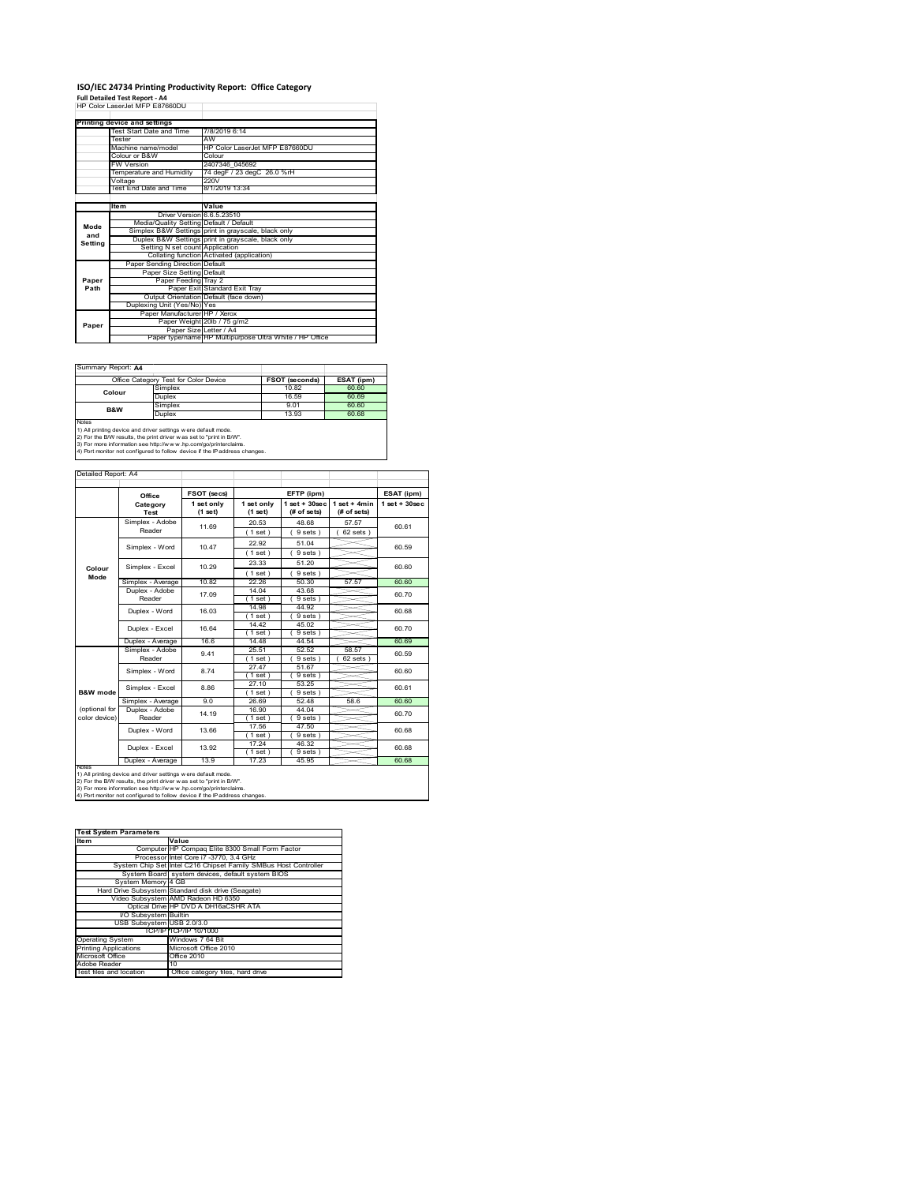#### **ISO/IEC 24734 Printing Productivity Report: Office Category**  $\overline{1}$

**Full Detailed Test Report ‐ A4** HP Color LaserJet MFP E87660DU

|         | Printing device and settings            |                                                         |  |  |
|---------|-----------------------------------------|---------------------------------------------------------|--|--|
|         | Test Start Date and Time                | 7/8/2019 6:14                                           |  |  |
|         | Tester                                  | AW                                                      |  |  |
|         | Machine name/model                      | HP Color Laser let MFP F87660DU                         |  |  |
|         | Colour or B&W                           | Colour                                                  |  |  |
|         | FW Version                              | 2407346 045692                                          |  |  |
|         | Temperature and Humidity                | 74 degF / 23 degC 26.0 %rH                              |  |  |
|         | Voltage                                 | 220V                                                    |  |  |
|         | Test End Date and Time                  | 8/1/2019 13:34                                          |  |  |
|         |                                         |                                                         |  |  |
|         | Item                                    | Value                                                   |  |  |
|         | Driver Version 6.6.5.23510              |                                                         |  |  |
| Mode    | Media/Quality Setting Default / Default |                                                         |  |  |
| and     |                                         | Simplex B&W Settings print in grayscale, black only     |  |  |
| Setting |                                         | Duplex B&W Settings print in grayscale, black only      |  |  |
|         | Setting N set count Application         |                                                         |  |  |
|         |                                         | Collating function Activated (application)              |  |  |
|         | Paper Sending Direction Default         |                                                         |  |  |
|         | Paper Size Setting Default              |                                                         |  |  |
| Paper   | Paper Feeding Tray 2                    |                                                         |  |  |
| Path    |                                         | Paper Exit Standard Exit Tray                           |  |  |
|         |                                         | Output Orientation Default (face down)                  |  |  |
|         | Duplexing Unit (Yes/No) Yes             |                                                         |  |  |
|         | Paper Manufacturer HP / Xerox           |                                                         |  |  |
| Paper   |                                         | Paper Weight 20lb / 75 g/m2                             |  |  |
|         | Paper Size Letter / A4                  |                                                         |  |  |
|         |                                         | Paper type/name HP Multipurpose Ultra White / HP Office |  |  |

Summary Report: **A4**

|                                                                                                                                                       | Office Category Test for Color Device | <b>FSOT (seconds)</b> | ESAT (ipm) |  |  |
|-------------------------------------------------------------------------------------------------------------------------------------------------------|---------------------------------------|-----------------------|------------|--|--|
| Colour                                                                                                                                                | Simplex                               | 10.82                 | 60.60      |  |  |
|                                                                                                                                                       | Duplex                                | 16.59                 | 60.69      |  |  |
| B&W                                                                                                                                                   | Simplex                               | 9.01                  | 60.60      |  |  |
|                                                                                                                                                       | Duplex                                | 13.93                 | 60.68      |  |  |
| <b>Notes</b><br>1) All printing device and driver settings w ere default mode.<br>2) For the B/W results, the print driver was set to "print in B/W". |                                       |                       |            |  |  |

2) For the B/W results, the print driver w as set to "print in B/W".<br>3) For more information see http://w w w .hp.com/go/printerclaims.<br>4) Port monitor not configured to follow device if the IP address changes.

| Detailed Report: A4 |                          |             |                       |                                 |                               |                   |
|---------------------|--------------------------|-------------|-----------------------|---------------------------------|-------------------------------|-------------------|
|                     |                          |             |                       |                                 |                               |                   |
|                     | Office                   | FSOT (secs) |                       | EFTP (ipm)                      |                               | ESAT (ipm)        |
|                     | Category<br>Test         |             | 1 set only<br>(1 set) | $1 set + 30 sec$<br>(# of sets) | $1$ set + 4min<br>(# of sets) | $1$ set $+30$ sec |
|                     | Simplex - Adobe          | 11.69       | 20.53                 | 48.68                           | 57.57                         | 60.61             |
|                     | Reader                   |             | (1 set)               | 9 sets)                         | 62 sets                       |                   |
|                     | Simplex - Word           | 10.47       | 22.92                 | 51.04                           |                               | 60.59             |
|                     |                          |             | (1 set)               | 9 sets)                         |                               |                   |
|                     | Simplex - Excel          | 10.29       | 23.33                 | 51.20                           |                               | 60.60             |
| Colour<br>Mode      |                          |             | $1$ set)              | 9 sets)                         |                               |                   |
|                     | Simplex - Average        | 10.82       | 22.26                 | 50.30                           | 57.57                         | 60.60             |
|                     | Duplex - Adobe<br>Reader | 17.09       | 14.04<br>1 set        | 43.68<br>9 sets                 |                               | 60.70             |

|                     | Simplex - Average | 10.OZ | 22.20       | OG.JU   | 37. JC  | OU.OU |
|---------------------|-------------------|-------|-------------|---------|---------|-------|
|                     | Duplex - Adobe    | 17.09 | 14.04       | 43.68   |         | 60.70 |
|                     | Reader            |       | 1 set)      | 9 sets) |         |       |
|                     | Duplex - Word     | 16.03 | 14.98       | 44.92   |         | 60.68 |
|                     |                   |       | $1$ set)    | 9 sets) |         |       |
|                     | Duplex - Excel    | 16.64 | 14.42       | 45.02   |         | 60.70 |
|                     |                   |       | $1$ set)    | 9 sets) |         |       |
|                     | Duplex - Average  | 16.6  | 14.48       | 44.54   |         | 60.69 |
|                     | Simplex - Adobe   | 9.41  | 25.51       | 52.52   | 58.57   | 60.59 |
|                     | Reader            |       | $1$ set)    | 9 sets) | 62 sets |       |
|                     | Simplex - Word    | 8.74  | 27.47       | 51.67   |         | 60.60 |
|                     |                   |       | $1$ set $)$ | 9 sets) |         |       |
|                     | Simplex - Excel   | 8.86  | 27.10       | 53.25   |         | 60.61 |
| <b>B&amp;W</b> mode |                   |       | $1$ set)    | 9 sets) |         |       |
|                     | Simplex - Average | 9.0   | 26.69       | 52.48   | 58.6    | 60.60 |
| (optional for       | Duplex - Adobe    | 14.19 | 16.90       | 44.04   |         | 60.70 |
| color device)       | Reader            |       | (1 set)     | 9 sets) |         |       |
|                     | Duplex - Word     | 13.66 | 17.56       | 47.50   |         | 60.68 |
|                     |                   |       | $1$ set)    | 9 sets) |         |       |
|                     | Duplex - Excel    | 13.92 | 17.24       | 46.32   |         | 60.68 |
|                     |                   |       | 1 set)      | 9 sets) |         |       |
|                     | Duplex - Average  | 13.9  | 17.23       | 45.95   |         | 60.68 |
| <b>WARRANTEE</b>    |                   |       |             |         |         |       |

٦

notes<br>1) All printing device and driver settings were default mode.<br>2) For the B/W results, the print driver was set to "print in B/W".<br>3) For more information see http://www.hp.com/go/printerclaims.<br>4) Por morator not con

| <b>Test System Parameters</b> |                                                                 |  |  |  |  |
|-------------------------------|-----------------------------------------------------------------|--|--|--|--|
| <b>Item</b>                   | Value                                                           |  |  |  |  |
|                               | Computer HP Compag Elite 8300 Small Form Factor                 |  |  |  |  |
|                               | Processor Intel Core i7 -3770, 3.4 GHz                          |  |  |  |  |
|                               | System Chip Set Intel C216 Chipset Family SMBus Host Controller |  |  |  |  |
|                               | System Board system devices, default system BIOS                |  |  |  |  |
| System Memory 4 GB            |                                                                 |  |  |  |  |
|                               | Hard Drive Subsystem Standard disk drive (Seagate)              |  |  |  |  |
|                               | Video Subsystem AMD Radeon HD 6350                              |  |  |  |  |
|                               | Optical Drive HP DVD A DH16aCSHR ATA                            |  |  |  |  |
| I/O Subsystem Builtin         |                                                                 |  |  |  |  |
| USB Subsystem USB 2.0/3.0     |                                                                 |  |  |  |  |
|                               | TCP/IPITCP/IP 10/1000                                           |  |  |  |  |
| <b>Operating System</b>       | Windows 7 64 Bit                                                |  |  |  |  |
| <b>Printing Applications</b>  | Microsoft Office 2010                                           |  |  |  |  |
| Microsoft Office              | Office 2010                                                     |  |  |  |  |
| Adobe Reader                  | 10                                                              |  |  |  |  |
| Test files and location       | Office category files, hard drive                               |  |  |  |  |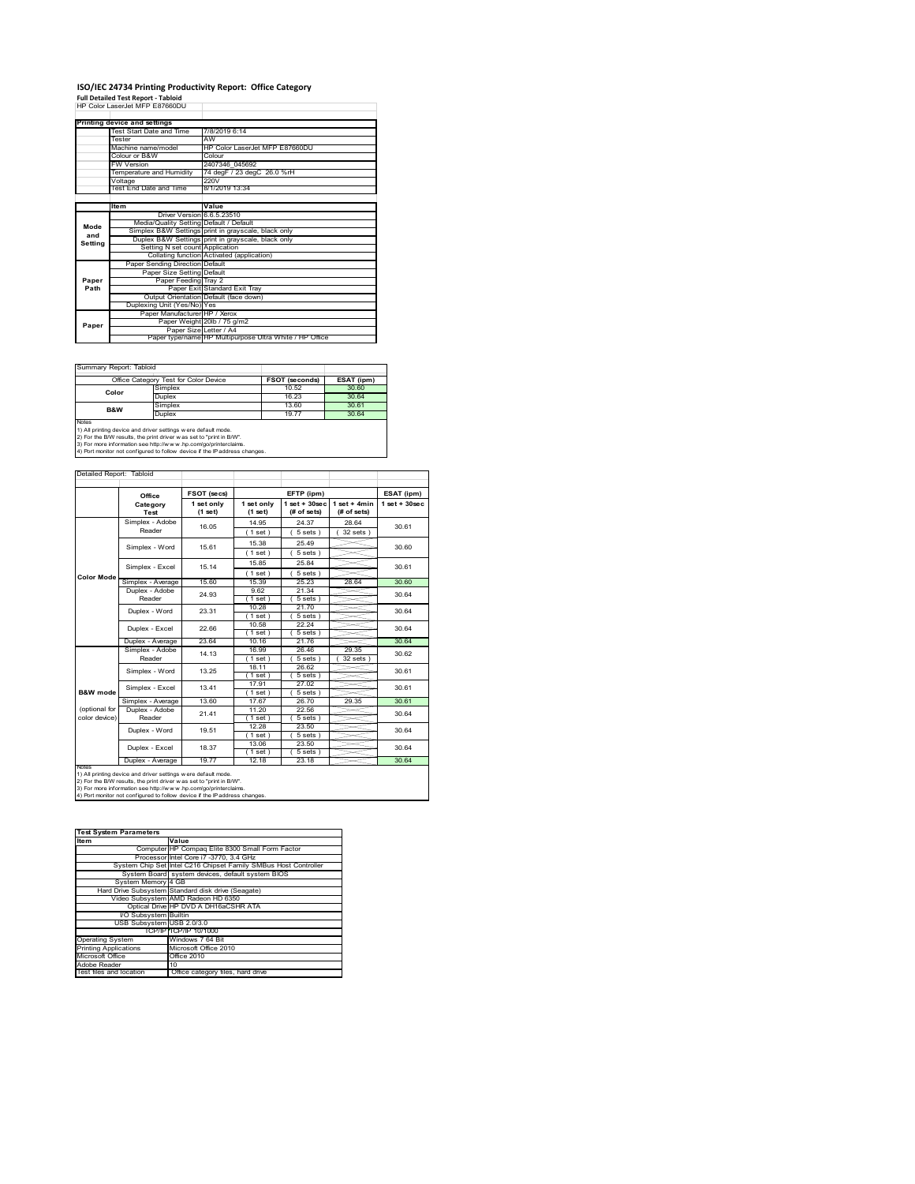# **ISO/IEC 24734 Printing Productivity Report: Office Category<br>Full Detailed Test Report - Tabloid<br>HP Color LaserJet MFP E87660DU**

|         | Printing device and settings            |                                                         |
|---------|-----------------------------------------|---------------------------------------------------------|
|         | Test Start Date and Time                | 7/8/2019 6:14                                           |
|         | Tester                                  | AW                                                      |
|         | Machine name/model                      | HP Color Laser let MFP F87660DU                         |
|         | Colour or B&W                           | Colour                                                  |
|         | <b>FW Version</b>                       | 2407346 045692                                          |
|         | Temperature and Humidity                | 74 degF / 23 degC 26.0 %rH                              |
|         | Voltage                                 | 220V                                                    |
|         | Test End Date and Time                  | 8/1/2019 13:34                                          |
|         |                                         |                                                         |
|         | ltem                                    | Value                                                   |
|         | Driver Version 6.6.5.23510              |                                                         |
| Mode    | Media/Quality Setting Default / Default |                                                         |
| and     |                                         | Simplex B&W Settings print in grayscale, black only     |
| Setting |                                         | Duplex B&W Settings print in grayscale, black only      |
|         | Setting N set count Application         |                                                         |
|         |                                         | Collating function Activated (application)              |
|         | Paper Sending Direction Default         |                                                         |
|         | Paper Size Setting Default              |                                                         |
| Paper   | Paper Feeding Tray 2                    |                                                         |
| Path    |                                         | Paper Exit Standard Exit Tray                           |
|         |                                         | Output Orientation Default (face down)                  |
|         | Duplexing Unit (Yes/No) Yes             |                                                         |
|         | Paper Manufacturer HP / Xerox           |                                                         |
| Paper   |                                         | Paper Weight 20lb / 75 g/m2                             |
|         | Paper Size Letter / A4                  |                                                         |
|         |                                         | Paper type/name HP Multipurpose Ultra White / HP Office |

Ī.

٦

Summary Report: Tabloid

| Office Category Test for Color Device                                                                                                                                                                                                                                                           |               | FSOT (seconds) | ESAT (ipm) |  |  |
|-------------------------------------------------------------------------------------------------------------------------------------------------------------------------------------------------------------------------------------------------------------------------------------------------|---------------|----------------|------------|--|--|
| Color                                                                                                                                                                                                                                                                                           | Simplex       | 10.52          | 30.60      |  |  |
|                                                                                                                                                                                                                                                                                                 | <b>Duplex</b> | 16.23          | 30.64      |  |  |
| <b>B&amp;W</b>                                                                                                                                                                                                                                                                                  | Simplex       | 13.60          | 30.61      |  |  |
|                                                                                                                                                                                                                                                                                                 | <b>Duplex</b> | 19.77          |            |  |  |
| Notes<br>1) All printing device and driver settings w ere default mode.<br>2) For the B/W results, the print driver was set to "print in B/W".<br>3) For more information see http://www.hp.com/go/printerclaims.<br>4) Port monitor not configured to follow device if the IP address changes. |               |                |            |  |  |

| Detailed Report: Tabloid |                           |                       |                       |                                  |                               |                    |
|--------------------------|---------------------------|-----------------------|-----------------------|----------------------------------|-------------------------------|--------------------|
|                          | Office                    | FSOT (secs)           |                       | EFTP (ipm)                       |                               | ESAT (ipm)         |
|                          | Category<br>Test          | 1 set only<br>(1 set) | 1 set only<br>(1 set) | $1$ set $+30$ sec<br>(# of sets) | $1$ set + 4min<br>(# of sets) | $1$ set + $30$ sec |
|                          | Simplex - Adobe           | 16.05                 | 14.95                 | 24 37                            | 28.64                         | 30.61              |
|                          | Reader                    |                       | $1$ set)              | 5 sets)                          | $32$ sets $)$                 |                    |
|                          | Simplex - Word            | 15.61                 | 15.38                 | 25 49                            |                               | 30.60              |
|                          |                           |                       | $1$ set)              | $5 sets$ )                       |                               |                    |
|                          | Simplex - Excel           | 15.14                 | 15.85                 | 25.84                            |                               | 30.61              |
| <b>Color Mode</b>        |                           |                       | (1 set)               | $5 sets$ )                       |                               |                    |
|                          | Simplex - Average         | 15.60                 | 15.39                 | 25.23                            | 28.64                         | 30.60              |
|                          | Duplex - Adobe            | 24 93                 | 9.62                  | 21.34                            |                               | 30.64              |
|                          | Reader                    |                       | $1$ set)              | $5 sets$ )                       |                               |                    |
|                          | Duplex - Word             | 23.31                 | 10.28                 | 21.70                            |                               | 30.64<br>30.64     |
|                          |                           |                       | $1$ set)              | $5 sets$ )                       |                               |                    |
|                          | Duplex - Excel            | 22.66                 | 10.58                 | 22.24                            |                               |                    |
|                          |                           |                       | $1$ set)              | 5 sets)                          |                               |                    |
|                          | Duplex - Average          | 23.64                 | 10.16                 | 21.76                            |                               | 30.64              |
|                          | Simplex - Adobe<br>Reader | 14.13                 | 16.99                 | 26.46                            | 29.35                         | 30.62              |
|                          |                           |                       | $1$ set)              | 5 sets)                          | 32 sets                       |                    |
|                          | Simplex - Word            | 13 25                 | 18.11                 | 26.62                            |                               | 30.61              |
|                          |                           |                       | $1$ set)              | $5 sets$ )                       |                               |                    |
|                          | Simplex - Excel           | 13.41                 | 17 91                 | 27.02                            |                               | 30.61              |
| B&W mode                 |                           |                       | $1$ set)              | 5 sets)                          |                               |                    |
|                          | Simplex - Average         | 13.60                 | 17.67                 | 26.70                            | 29.35                         | 30.61              |
| (optional for            | Duplex - Adobe            | 21.41                 | 11.20                 | 22.56                            |                               | 30.64<br>30.64     |
| color device)            | Reader                    |                       | $1$ set $)$           | $5 sets$ )                       |                               |                    |
|                          | Duplex - Word             | 19.51                 | 12.28                 | 23.50                            |                               |                    |
|                          |                           |                       | $1$ set)              | $5 sets$ )                       |                               |                    |
|                          | Duplex - Excel            | 18.37                 | 13.06                 | 23.50                            |                               | 30.64              |
|                          |                           |                       | $1$ set)              | $5 sets$ )                       |                               |                    |
| <b>NOIRS</b>             | Duplex - Average          | 19.77                 | 12.18                 | 23.18                            |                               | 30.64              |

notes<br>1) All printing device and driver settings were default mode.<br>2) For the B/W results, the print driver was set to "print in B/W".<br>3) For more information see http://www.hp.com/go/printerclaims.<br>4) Por morator not con

| <b>Test System Parameters</b> |                                                                 |  |  |  |
|-------------------------------|-----------------------------------------------------------------|--|--|--|
| <b>Item</b>                   | Value                                                           |  |  |  |
|                               | Computer HP Compag Elite 8300 Small Form Factor                 |  |  |  |
|                               | Processor Intel Core i7 -3770, 3.4 GHz                          |  |  |  |
|                               | System Chip Set Intel C216 Chipset Family SMBus Host Controller |  |  |  |
|                               | System Board system devices, default system BIOS                |  |  |  |
| System Memory 4 GB            |                                                                 |  |  |  |
|                               | Hard Drive Subsystem Standard disk drive (Seagate)              |  |  |  |
|                               | Video Subsystem AMD Radeon HD 6350                              |  |  |  |
|                               | Optical Drive HP DVD A DH16aCSHR ATA                            |  |  |  |
| I/O Subsystem Builtin         |                                                                 |  |  |  |
| USB Subsystem USB 2.0/3.0     |                                                                 |  |  |  |
|                               | TCP/IPITCP/IP 10/1000                                           |  |  |  |
| <b>Operating System</b>       | Windows 7 64 Bit                                                |  |  |  |
| <b>Printing Applications</b>  | Microsoft Office 2010                                           |  |  |  |
| Microsoft Office              | Office 2010                                                     |  |  |  |
| Adobe Reader                  | 10                                                              |  |  |  |
| Test files and location       | Office category files, hard drive                               |  |  |  |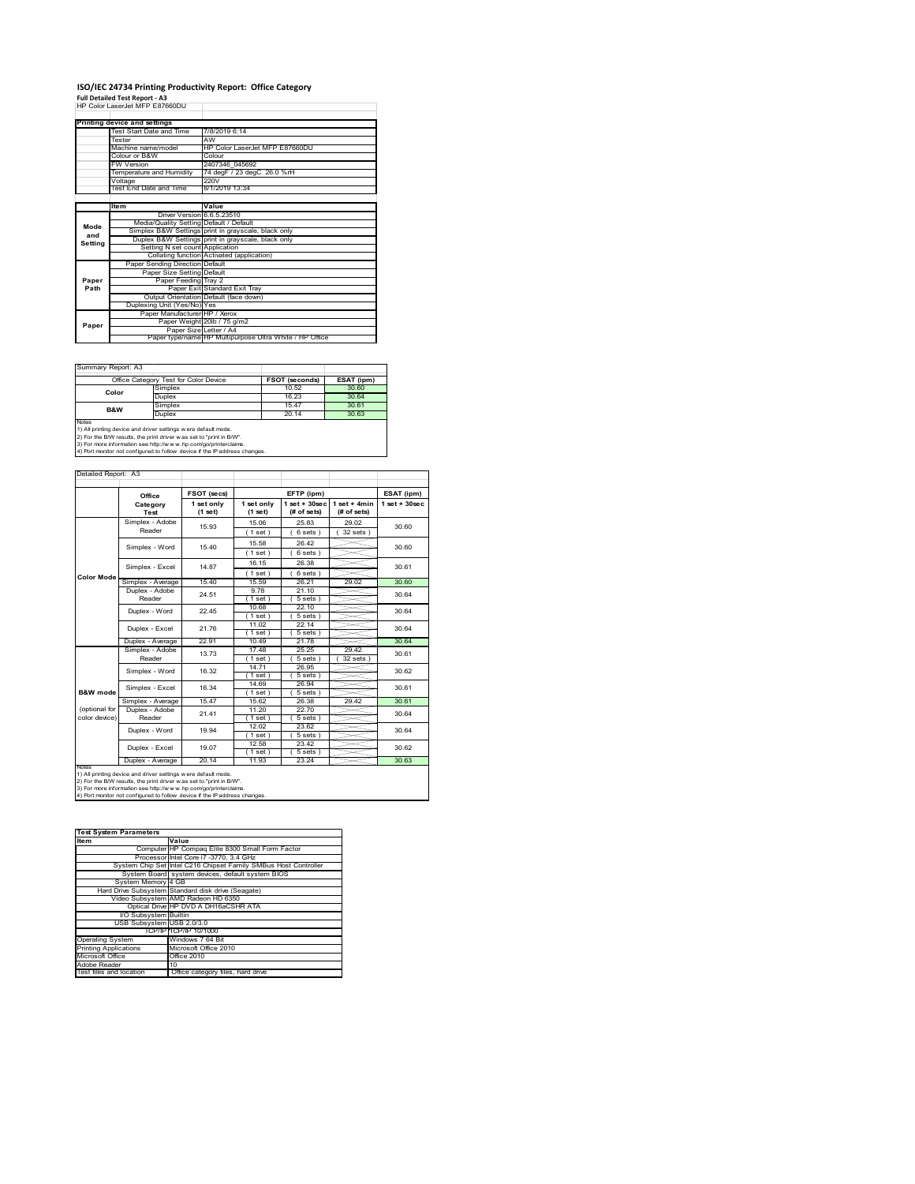## **ISO/IEC 24734 Printing Productivity Report: Office Category**

**Full Detailed Test Report ‐ A3** HP Color LaserJet MFP E87660DU

|         | Printing device and settings            |                                                         |
|---------|-----------------------------------------|---------------------------------------------------------|
|         | Test Start Date and Time                | 7/8/2019 6:14                                           |
|         | Tester                                  | AW                                                      |
|         | Machine name/model                      | HP Color Laser let MFP F87660DU                         |
|         | Colour or B&W                           | Colour                                                  |
|         | <b>FW Version</b>                       | 2407346 045692                                          |
|         | Temperature and Humidity                | 74 degF / 23 degC 26.0 %rH                              |
|         | Voltage                                 | 220V                                                    |
|         | Test End Date and Time                  | 8/1/2019 13:34                                          |
|         |                                         |                                                         |
|         | Item                                    | Value                                                   |
|         | Driver Version 6.6.5.23510              |                                                         |
| Mode    | Media/Quality Setting Default / Default |                                                         |
| and     |                                         | Simplex B&W Settings print in grayscale, black only     |
| Setting |                                         | Duplex B&W Settings print in grayscale, black only      |
|         | Setting N set count Application         |                                                         |
|         |                                         | Collating function Activated (application)              |
|         | Paper Sending Direction Default         |                                                         |
|         | Paper Size Setting Default              |                                                         |
| Paper   | Paper Feeding Tray 2                    |                                                         |
| Path    |                                         | Paper Exit Standard Exit Tray                           |
|         |                                         | Output Orientation Default (face down)                  |
|         | Duplexing Unit (Yes/No) Yes             |                                                         |
|         | Paper Manufacturer HP / Xerox           |                                                         |
| Paper   |                                         | Paper Weight 20lb / 75 g/m2                             |
|         | Paper Size Letter / A4                  |                                                         |
|         |                                         | Paper type/name HP Multipurpose Ultra White / HP Office |

Ï

Summary Report: A3

| Office Category Test for Color Device                                                                                                                 |         | <b>FSOT (seconds)</b> | ESAT (ipm) |  |  |
|-------------------------------------------------------------------------------------------------------------------------------------------------------|---------|-----------------------|------------|--|--|
| Color                                                                                                                                                 | Simplex | 10.52                 | 30.60      |  |  |
|                                                                                                                                                       | Duplex  | 16.23                 | 30.64      |  |  |
| <b>B&amp;W</b>                                                                                                                                        | Simplex | 1547                  | 30.61      |  |  |
|                                                                                                                                                       | Duplex  | 20.14                 | 30.63      |  |  |
| <b>Notes</b><br>1) All printing device and driver settings w ere default mode.<br>2) For the B/W results, the print driver was set to "print in B/W". |         |                       |            |  |  |

2) For the B/W results, the print driver w as set to "print in B/W".<br>3) For more information see http://w w w .hp.com/go/printerclaims.<br>4) Port monitor not configured to follow device if the IP address changes.

| Detailed Report: A3 |                           |             |                       |             |                                                                |            |
|---------------------|---------------------------|-------------|-----------------------|-------------|----------------------------------------------------------------|------------|
|                     |                           |             |                       |             |                                                                |            |
|                     | Office                    | FSOT (secs) |                       | EFTP (ipm)  |                                                                | ESAT (ipm) |
|                     | Category<br>Test          |             | 1 set only<br>(1 set) | (# of sets) | 1 set + 30 sec   1 set + 4 min   1 set + 30 sec<br>(# of sets) |            |
|                     | Simplex - Adobe<br>Reader | 15.93       | 15.06                 | 25.83       | 29.02                                                          | 30.60      |
|                     |                           |             | $1$ set $)$           | 6 sets )    | $32$ sets                                                      |            |

|                                                                            | Simplex - Adobe                                                                                                                        | 15.93 | 15.06       | 25.83      | 29.02         | 30.60 |  |
|----------------------------------------------------------------------------|----------------------------------------------------------------------------------------------------------------------------------------|-------|-------------|------------|---------------|-------|--|
|                                                                            | Reader                                                                                                                                 |       | $1$ set)    | $6 sets$ ) | $32$ sets $)$ |       |  |
|                                                                            | Simplex - Word                                                                                                                         | 15.40 | 15.58       | 26.42      |               | 30.60 |  |
|                                                                            |                                                                                                                                        |       | (1 set)     | 6 sets)    |               |       |  |
|                                                                            | Simplex - Excel                                                                                                                        | 14 87 | 16.15       | 26.38      |               | 30.61 |  |
| <b>Color Mode</b>                                                          |                                                                                                                                        |       | $1$ set)    | $6 sets$ ) |               |       |  |
|                                                                            | Simplex - Average                                                                                                                      | 15.40 | 15.59       | 26.21      | 29.02         | 30.60 |  |
|                                                                            | Duplex - Adobe                                                                                                                         | 24.51 | 9.78        | 21.10      |               | 30.64 |  |
|                                                                            | Reader                                                                                                                                 |       | 1 set)      | $5 sets$ ) |               |       |  |
|                                                                            | Duplex - Word                                                                                                                          | 22.45 | 10.68       | 22.10      |               | 30.64 |  |
|                                                                            |                                                                                                                                        |       | $1$ set)    | 5 sets)    |               |       |  |
|                                                                            | Duplex - Excel                                                                                                                         | 21.76 | 11.02       | 22.14      |               | 30.64 |  |
|                                                                            |                                                                                                                                        |       | $1$ set)    | $5 sets$ ) |               |       |  |
|                                                                            | Duplex - Average                                                                                                                       | 22.91 | 10.49       | 21.78      |               | 30.64 |  |
|                                                                            | Simplex - Adobe<br>Reader                                                                                                              | 13.73 | 1748        | 25.25      | 29.42         | 30.61 |  |
|                                                                            |                                                                                                                                        |       | $1$ set $)$ | 5 sets     | 32 sets       |       |  |
|                                                                            | Simplex - Word                                                                                                                         | 16.32 | 14.71       | 26.95      |               | 30.62 |  |
|                                                                            |                                                                                                                                        |       | $1$ set)    | 5 sets)    |               |       |  |
|                                                                            | Simplex - Excel                                                                                                                        | 16.34 | 14.69       | 26.94      |               | 30.61 |  |
| B&W mode                                                                   |                                                                                                                                        |       | $1$ set)    | $5 sets$ ) |               |       |  |
|                                                                            | Simplex - Average                                                                                                                      | 15.47 | 15.62       | 26.38      | 29.42         | 30.61 |  |
| (optional for                                                              | Duplex - Adobe                                                                                                                         | 21.41 | 11.20       | 22.70      |               | 30.64 |  |
| color device)                                                              | Reader                                                                                                                                 |       | $1$ set $)$ | $5 sets$ ) |               |       |  |
|                                                                            | Duplex - Word                                                                                                                          | 19.94 | 12.02       | 23.62      |               | 30.64 |  |
|                                                                            |                                                                                                                                        |       | $1$ set)    | $5 sets$ ) |               |       |  |
|                                                                            | Duplex - Excel                                                                                                                         | 19.07 | 12.58       | 23.42      |               | 30.62 |  |
|                                                                            |                                                                                                                                        |       | $1$ set)    | 5 sets)    |               |       |  |
|                                                                            | Duplex - Average                                                                                                                       | 20.14 | 11.93       | 23.24      |               | 30.63 |  |
| <b>NOtes</b>                                                               |                                                                                                                                        |       |             |            |               |       |  |
|                                                                            | 1) All printing device and driver settings w ere default mode.<br>2) For the B/W results, the print driver w as set to "print in B/W". |       |             |            |               |       |  |
|                                                                            | 3) For more information see http://www.hp.com/go/printerclaims.                                                                        |       |             |            |               |       |  |
| 4) Port monitor not configured to follow device if the IP address changes. |                                                                                                                                        |       |             |            |               |       |  |

| <b>Test System Parameters</b> |                                                                 |  |
|-------------------------------|-----------------------------------------------------------------|--|
| <b>Item</b>                   | Value                                                           |  |
|                               | Computer HP Compag Elite 8300 Small Form Factor                 |  |
|                               | Processor Intel Core i7 -3770, 3.4 GHz                          |  |
|                               | System Chip Set Intel C216 Chipset Family SMBus Host Controller |  |
|                               | System Board system devices, default system BIOS                |  |
| System Memory 4 GB            |                                                                 |  |
|                               | Hard Drive Subsystem Standard disk drive (Seagate)              |  |
|                               | Video Subsystem AMD Radeon HD 6350                              |  |
|                               | Optical Drive HP DVD A DH16aCSHR ATA                            |  |
| I/O Subsystem Builtin         |                                                                 |  |
| USB Subsystem USB 2.0/3.0     |                                                                 |  |
|                               | TCP/IP TCP/IP 10/1000                                           |  |
| <b>Operating System</b>       | Windows 7 64 Bit                                                |  |
| <b>Printing Applications</b>  | Microsoft Office 2010                                           |  |
| Microsoft Office              | Office 2010                                                     |  |
| Adobe Reader                  | 10                                                              |  |
| Test files and location       | Office category files, hard drive                               |  |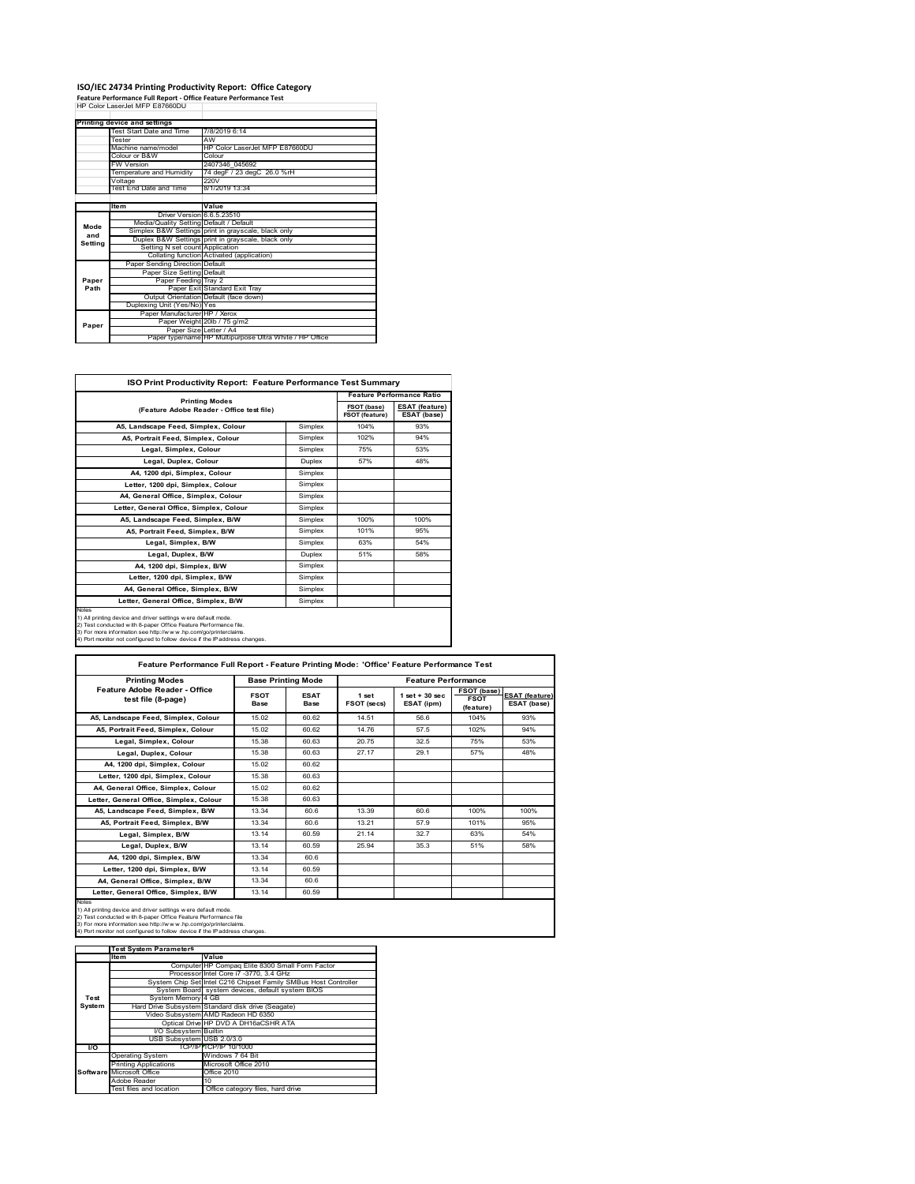## **ISO/IEC 24734 Printing Productivity Report: Office Category Feature Performance Full Report ‐ Office Feature Performance Test** HP Color LaserJet MFP E87660DU

|         | . catule reflormance run Report - Office reature reflormance rest<br>HP Color Laser let MFP E87660DU |                                                         |
|---------|------------------------------------------------------------------------------------------------------|---------------------------------------------------------|
|         |                                                                                                      |                                                         |
|         | Printing device and settings                                                                         |                                                         |
|         | Test Start Date and Time                                                                             | 7/8/2019 6:14                                           |
|         | Tester                                                                                               | AW                                                      |
|         | Machine name/model                                                                                   | HP Color LaserJet MFP E87660DU                          |
|         |                                                                                                      |                                                         |
|         | Colour or B&W                                                                                        | Colour                                                  |
|         | <b>FW Version</b>                                                                                    | 2407346 045692                                          |
|         | Temperature and Humidity                                                                             | 74 degF / 23 degC 26.0 %rH                              |
|         | Voltage                                                                                              | 220V                                                    |
|         | Test End Date and Time                                                                               | 8/1/2019 13:34                                          |
|         |                                                                                                      |                                                         |
|         | <b>Item</b>                                                                                          | Value                                                   |
|         | Driver Version 6.6.5.23510                                                                           |                                                         |
| Mode    | Media/Quality Setting Default / Default                                                              |                                                         |
| and     |                                                                                                      | Simplex B&W Settings print in grayscale, black only     |
| Setting |                                                                                                      | Duplex B&W Settings print in grayscale, black only      |
|         | Setting N set count Application                                                                      |                                                         |
|         |                                                                                                      | Collating function Activated (application)              |
|         | Paper Sending Direction Default                                                                      |                                                         |
|         | Paper Size Setting Default                                                                           |                                                         |
| Paper   | Paper Feeding Tray 2                                                                                 |                                                         |
| Path    |                                                                                                      | Paper Exit Standard Exit Tray                           |
|         |                                                                                                      | Output Orientation Default (face down)                  |
|         | Duplexing Unit (Yes/No) Yes                                                                          |                                                         |
|         | Paper Manufacturer HP / Xerox                                                                        |                                                         |
| Paper   |                                                                                                      | Paper Weight 20lb / 75 g/m2                             |
|         | Paper Size Letter / A4                                                                               |                                                         |
|         |                                                                                                      | Paper type/name HP Multipurpose Ultra White / HP Office |

| ISO Print Productivity Report: Feature Performance Test Summary                                                                                                                                                                                                                             |               |                                      |                                      |  |
|---------------------------------------------------------------------------------------------------------------------------------------------------------------------------------------------------------------------------------------------------------------------------------------------|---------------|--------------------------------------|--------------------------------------|--|
| <b>Printing Modes</b>                                                                                                                                                                                                                                                                       |               | <b>Feature Performance Ratio</b>     |                                      |  |
| (Feature Adobe Reader - Office test file)                                                                                                                                                                                                                                                   |               | FSOT (base)<br><b>FSOT (feature)</b> | <b>ESAT (feature)</b><br>ESAT (base) |  |
| A5, Landscape Feed, Simplex, Colour                                                                                                                                                                                                                                                         | Simplex       | 104%                                 | 93%                                  |  |
| A5, Portrait Feed, Simplex, Colour                                                                                                                                                                                                                                                          | Simplex       | 102%                                 | 94%                                  |  |
| Legal, Simplex, Colour                                                                                                                                                                                                                                                                      | Simplex       | 75%                                  | 53%                                  |  |
| Legal, Duplex, Colour                                                                                                                                                                                                                                                                       | <b>Duplex</b> | 57%                                  | 48%                                  |  |
| A4, 1200 dpi, Simplex, Colour                                                                                                                                                                                                                                                               | Simplex       |                                      |                                      |  |
| Letter, 1200 dpi, Simplex, Colour                                                                                                                                                                                                                                                           | Simplex       |                                      |                                      |  |
| A4. General Office. Simplex. Colour                                                                                                                                                                                                                                                         | Simplex       |                                      |                                      |  |
| Letter, General Office, Simplex, Colour                                                                                                                                                                                                                                                     | Simplex       |                                      |                                      |  |
| A5. Landscape Feed. Simplex. B/W                                                                                                                                                                                                                                                            | Simplex       | 100%                                 | 100%                                 |  |
| A5, Portrait Feed, Simplex, B/W                                                                                                                                                                                                                                                             | Simplex       | 101%                                 | 95%                                  |  |
| Legal, Simplex, B/W                                                                                                                                                                                                                                                                         | Simplex       | 63%                                  | 54%                                  |  |
| Legal, Duplex, B/W                                                                                                                                                                                                                                                                          | <b>Duplex</b> | 51%                                  | 58%                                  |  |
| A4. 1200 dpi. Simplex. B/W                                                                                                                                                                                                                                                                  | Simplex       |                                      |                                      |  |
| Letter, 1200 dpi, Simplex, B/W                                                                                                                                                                                                                                                              | Simplex       |                                      |                                      |  |
| A4, General Office, Simplex, B/W                                                                                                                                                                                                                                                            | Simplex       |                                      |                                      |  |
| Letter, General Office, Simplex, B/W                                                                                                                                                                                                                                                        | Simplex       |                                      |                                      |  |
| Notes<br>1) All printing device and driver settings w ere default mode.<br>2) Test conducted with 8-paper Office Feature Performance file.<br>3) For more information see http://www.hp.com/go/printerclaims.<br>4) Port monitor not configured to follow device if the IP address changes. |               |                                      |                                      |  |

| <b>Printing Modes</b>                               | <b>Base Printing Mode</b> |                     |                      | <b>Feature Performance</b>       |                                         |                                      |
|-----------------------------------------------------|---------------------------|---------------------|----------------------|----------------------------------|-----------------------------------------|--------------------------------------|
| Feature Adobe Reader - Office<br>test file (8-page) | <b>FSOT</b><br>Base       | <b>ESAT</b><br>Base | 1 set<br>FSOT (secs) | $1$ set $+30$ sec.<br>ESAT (ipm) | FSOT (base)<br><b>FSOT</b><br>(feature) | <b>ESAT (feature)</b><br>ESAT (base) |
| A5, Landscape Feed, Simplex, Colour                 | 15.02                     | 60.62               | 14.51                | 56.6                             | 104%                                    | 93%                                  |
| A5, Portrait Feed, Simplex, Colour                  | 15.02                     | 60.62               | 14 76                | 57.5                             | 102%                                    | 94%                                  |
| Legal, Simplex, Colour                              | 15.38                     | 60.63               | 20.75                | 32.5                             | 75%                                     | 53%                                  |
| Legal, Duplex, Colour                               | 15.38                     | 60.63               | 27.17                | 29.1                             | 57%                                     | 48%                                  |
| A4, 1200 dpi, Simplex, Colour                       | 15.02                     | 60.62               |                      |                                  |                                         |                                      |
| Letter, 1200 dpi, Simplex, Colour                   | 15.38                     | 60.63               |                      |                                  |                                         |                                      |
| A4, General Office, Simplex, Colour                 | 15.02                     | 60.62               |                      |                                  |                                         |                                      |
| Letter, General Office, Simplex, Colour             | 15.38                     | 60.63               |                      |                                  |                                         |                                      |
| A5. Landscape Feed. Simplex. B/W                    | 13.34                     | 60.6                | 13.39                | 60.6                             | 100%                                    | 100%                                 |
| A5. Portrait Feed. Simplex. B/W                     | 13.34                     | 60.6                | 13.21                | 57.9                             | 101%                                    | 95%                                  |
| Legal, Simplex, B/W                                 | 13.14                     | 60.59               | 21.14                | 327                              | 63%                                     | 54%                                  |
| Legal, Duplex, B/W                                  | 13.14                     | 60.59               | 25.94                | 35.3                             | 51%                                     | 58%                                  |
| A4. 1200 dpi. Simplex. B/W                          | 13.34                     | 60.6                |                      |                                  |                                         |                                      |
| Letter, 1200 dpi, Simplex, B/W                      | 13.14                     | 60.59               |                      |                                  |                                         |                                      |
| A4. General Office. Simplex. B/W                    | 13.34                     | 60.6                |                      |                                  |                                         |                                      |
| Letter, General Office, Simplex, B/W                | 13.14                     | 60.59               |                      |                                  |                                         |                                      |

Notes<br>1) All printing device and driver settings were default mode.<br>2) Test conducted with 8-paper Office Feature Performance file<br>3) For more information see http://www.hp.com/go/printerclaims.<br>4) Por monitor not configur

|           | <b>Test System Parameters</b> |                                                                 |
|-----------|-------------------------------|-----------------------------------------------------------------|
|           | lte m                         | Value                                                           |
|           |                               | Computer HP Compaq Elite 8300 Small Form Factor                 |
|           |                               | Processor Intel Core i7 -3770, 3.4 GHz                          |
|           |                               | System Chip Set Intel C216 Chipset Family SMBus Host Controller |
|           |                               | System Board system devices, default system BIOS                |
| Test      | System Memory 4 GB            |                                                                 |
| System    |                               | Hard Drive Subsystem Standard disk drive (Seagate)              |
|           |                               | Video Subsystem AMD Radeon HD 6350                              |
|           |                               | Optical Drive HP DVD A DH16aCSHR ATA                            |
|           | I/O Subsystem Builtin         |                                                                 |
|           | USB Subsystem USB 2.0/3.0     |                                                                 |
| <b>VO</b> |                               | TCP/IPITCP/IP 10/1000                                           |
|           | <b>Operating System</b>       | Windows 7 64 Bit                                                |
|           | <b>Printing Applications</b>  | Microsoft Office 2010                                           |
|           | Software Microsoft Office     | Office 2010                                                     |
|           | Adobe Reader                  | 10                                                              |
|           | Test files and location       | Office category files, hard drive                               |
|           |                               |                                                                 |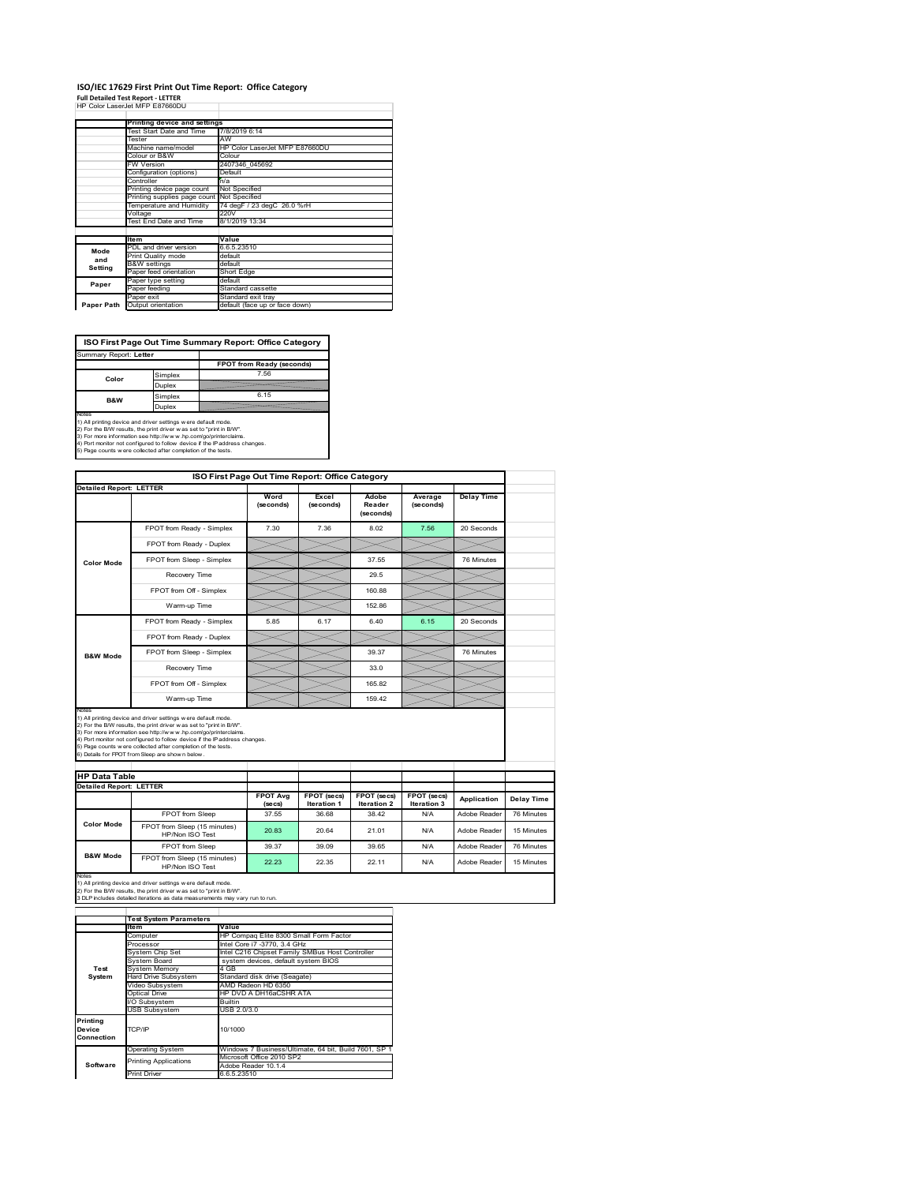### **ISO/IEC 17629 First Print Out Time Report: Office Category Full Detailed Test Report ‐ LETTER** HP Color LaserJet MFP E87660DU

|            | FF \48\8   45G.85   WFF FO/\8A8_A)         |                                |
|------------|--------------------------------------------|--------------------------------|
|            | Printing device and settings               |                                |
|            | Test Start Date and Time                   | 7/8/2019 6:14                  |
|            | Tester                                     | AW                             |
|            | Machine name/model                         | HP Color LaserJet MFP E87660DU |
|            | Colour or B&W                              | Colour                         |
|            | <b>FW Version</b>                          | 2407346 045692                 |
|            | Configuration (options)                    | Default                        |
|            | Controller                                 | n/a                            |
|            | Printing device page count                 | Not Specified                  |
|            | Printing supplies page count Not Specified |                                |
|            | Temperature and Humidity                   | 74 degF / 23 degC 26.0 %rH     |
|            | Voltage                                    | 220V                           |
|            | Test End Date and Time                     | 8/1/2019 13:34                 |
|            |                                            |                                |
|            | <b>Item</b>                                | Value                          |
| Mode       | PDL and driver version                     | 6.6.5.23510                    |
| and        | Print Quality mode                         | default                        |
| Setting    | <b>B&amp;W</b> settings                    | default                        |
|            | Paper feed orientation                     | Short Edge                     |
| Paper      | Paper type setting                         | default                        |
|            | Paper feeding                              | Standard cassette              |
|            | Paper exit                                 | Standard exit tray             |
| Paper Path | Output orientation                         | default (face up or face down) |

**ISO First Page Out Time Summary Report: Office Category**

| Summary Report: Letter |         |                           |
|------------------------|---------|---------------------------|
|                        |         | FPOT from Ready (seconds) |
| Color                  | Simplex | 7.56                      |
|                        | Duplex  |                           |
| <b>B&amp;W</b>         | Simplex | 6.15                      |
|                        | Duplex  |                           |
| Notes                  |         |                           |

Notes<br>1) All printing device and driver settings were default mode.<br>2) For the BW results, the print driver was set to "print in BW".<br>3) For more information see http://www.hp.com/golprinterclaims.<br>4) Port montor not confi

| ISO First Page Out Time Report: Office Category        |                                                                                                                                                                                                                                                                                                                                                                                                             |                            |                            |                              |                            |                   |
|--------------------------------------------------------|-------------------------------------------------------------------------------------------------------------------------------------------------------------------------------------------------------------------------------------------------------------------------------------------------------------------------------------------------------------------------------------------------------------|----------------------------|----------------------------|------------------------------|----------------------------|-------------------|
| <b>Detailed Report: LETTER</b>                         |                                                                                                                                                                                                                                                                                                                                                                                                             | Word<br>(seconds)          | Excel<br>(seconds)         | Adobe<br>Reader<br>(seconds) | Average<br>(seconds)       | <b>Delay Time</b> |
|                                                        | FPOT from Ready - Simplex                                                                                                                                                                                                                                                                                                                                                                                   | 7.30                       | 7.36                       | 8.02                         | 7.56                       | 20 Seconds        |
|                                                        | FPOT from Ready - Duplex                                                                                                                                                                                                                                                                                                                                                                                    |                            |                            |                              |                            |                   |
| <b>Color Mode</b>                                      | FPOT from Sleep - Simplex                                                                                                                                                                                                                                                                                                                                                                                   |                            |                            | 37.55                        |                            | 76 Minutes        |
|                                                        | Recovery Time                                                                                                                                                                                                                                                                                                                                                                                               |                            |                            | 29.5                         |                            |                   |
|                                                        | FPOT from Off - Simplex                                                                                                                                                                                                                                                                                                                                                                                     |                            |                            | 160.88                       |                            |                   |
|                                                        | Warm-up Time                                                                                                                                                                                                                                                                                                                                                                                                |                            |                            | 152.86                       |                            |                   |
|                                                        | FPOT from Ready - Simplex                                                                                                                                                                                                                                                                                                                                                                                   | 5.85                       | 6.17                       | 6.40                         | 6.15                       | 20 Seconds        |
| <b>B&amp;W Mode</b>                                    | FPOT from Ready - Duplex                                                                                                                                                                                                                                                                                                                                                                                    |                            |                            |                              |                            |                   |
|                                                        | FPOT from Sleep - Simplex                                                                                                                                                                                                                                                                                                                                                                                   |                            |                            | 39.37                        |                            | 76 Minutes        |
|                                                        | Recovery Time                                                                                                                                                                                                                                                                                                                                                                                               |                            |                            | 33.0                         |                            |                   |
|                                                        | FPOT from Off - Simplex                                                                                                                                                                                                                                                                                                                                                                                     |                            |                            | 165.82                       |                            |                   |
|                                                        | Warm-up Time                                                                                                                                                                                                                                                                                                                                                                                                |                            |                            | 159.42                       |                            |                   |
| Notes                                                  |                                                                                                                                                                                                                                                                                                                                                                                                             |                            |                            |                              |                            |                   |
|                                                        | 1) All printing device and driver settings w ere default mode.<br>2) For the B/W results, the print driver was set to "print in B/W".<br>3) For more information see http://www.hp.com/go/printerclaims.<br>4) Port monitor not configured to follow device if the IP address changes.<br>5) Page counts w ere collected after completion of the tests.<br>6) Details for FPOT from Sleep are show n below. |                            |                            |                              |                            |                   |
| <b>HP Data Table</b><br><b>Detailed Report: LETTER</b> |                                                                                                                                                                                                                                                                                                                                                                                                             |                            |                            |                              |                            |                   |
|                                                        |                                                                                                                                                                                                                                                                                                                                                                                                             | <b>FPOT Avg</b><br>(se cs) | FPOT (secs)<br>Iteration 1 | FPOT (secs)<br>Iteration 2   | FPOT (secs)<br>Iteration 3 | Application       |
|                                                        | FPOT from Sleep                                                                                                                                                                                                                                                                                                                                                                                             | 37.55                      | 36.68                      | 38.42                        | N/A                        | Adobe Reader      |
| Color Mode                                             | FPOT from Sleep (15 minutes)<br>HP/Non ISO Test                                                                                                                                                                                                                                                                                                                                                             | 20.83                      | 20.64                      | 21.01                        | N/A                        | Adobe Reader      |
| <b>B&amp;W Mode</b>                                    | <b>FPOT</b> from Sleep                                                                                                                                                                                                                                                                                                                                                                                      | 39.37                      | 39.09                      | 39.65                        | N/A                        | Adobe Reader      |

Notes<br>1) All printing device and driver settings w ere default mode.<br>2) For the B/W results, the print driver w as set to "print in B/W".<br>3 DLP includes detailed iterations as data measurements may vary run to run.

|                                  | <b>Test System Parameters</b>         |                                                       |
|----------------------------------|---------------------------------------|-------------------------------------------------------|
|                                  | <b>Item</b>                           | Value                                                 |
|                                  | Computer                              | HP Compaq Elite 8300 Small Form Factor                |
|                                  | Processor                             | Intel Core i7 -3770, 3.4 GHz                          |
|                                  | System Chip Set                       | Intel C216 Chipset Family SMBus Host Controller       |
|                                  | System Board                          | system devices, default system BIOS                   |
| Test                             | <b>System Memory</b>                  | 4 GB                                                  |
| System                           | Hard Drive Subsystem                  | Standard disk drive (Seagate)                         |
|                                  | AMD Radeon HD 6350<br>Video Subsystem |                                                       |
|                                  | Optical Drive                         | HP DVD A DH16aCSHR ATA                                |
|                                  | I/O Subsystem                         | <b>Builtin</b>                                        |
|                                  | <b>USB Subsystem</b>                  | USB 2.0/3.0                                           |
| Printing<br>Device<br>Connection | TCP/IP                                | 10/1000                                               |
|                                  | <b>Operating System</b>               | Windows 7 Business/Ultimate, 64 bit, Build 7601, SP 1 |
|                                  | <b>Printing Applications</b>          | Microsoft Office 2010 SP2                             |
| Software                         |                                       | Adobe Reader 10.1.4                                   |
|                                  | Print Driver                          | 6.6.5.23510                                           |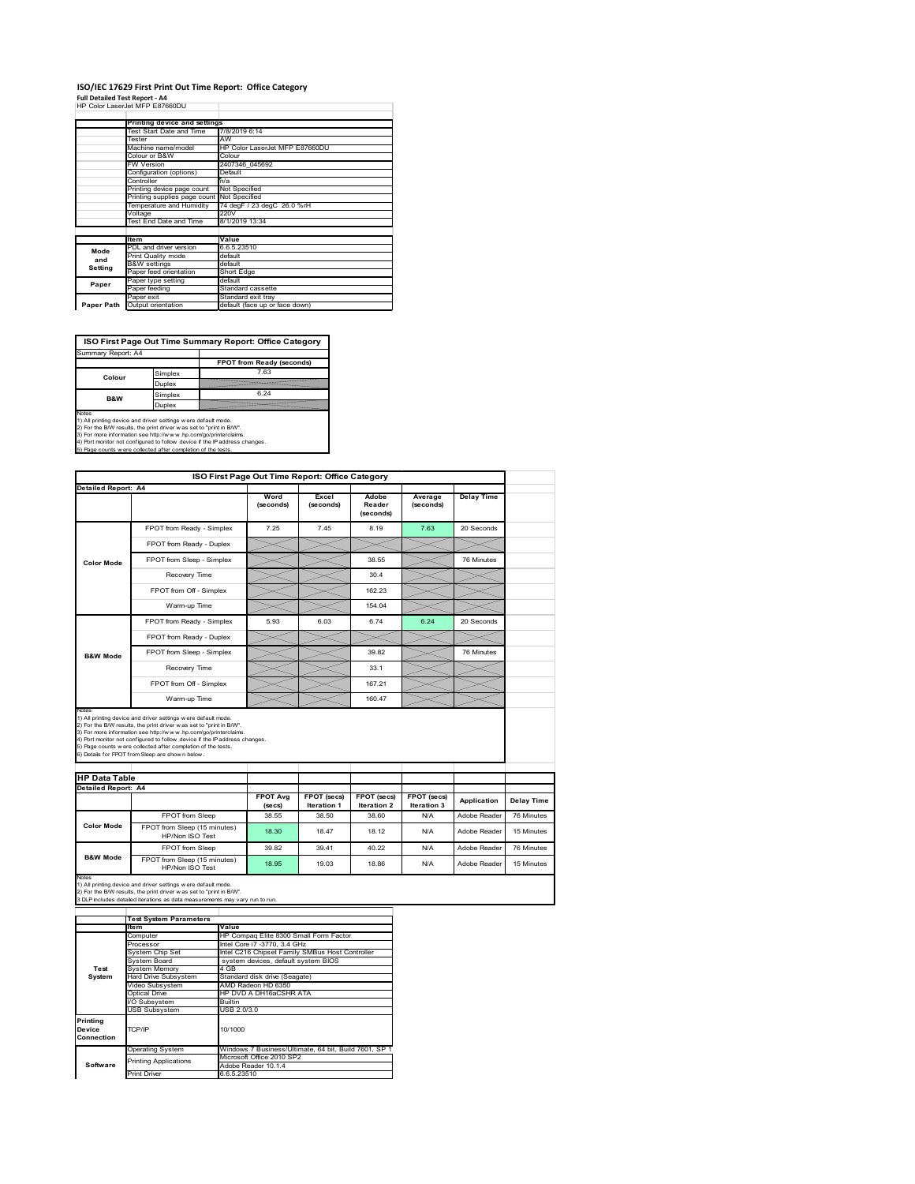#### **ISO/IEC 17629 First Print Out Time Report: Office Category** ÷

**Full Detailed Test Report ‐ A4** HP Color LaserJet MFP E87660DU

|            | Printing device and settings               |                                |
|------------|--------------------------------------------|--------------------------------|
|            | Test Start Date and Time                   | 7/8/2019 6:14                  |
|            | Tester                                     | AW                             |
|            | Machine name/model                         | HP Color LaserJet MFP E87660DU |
|            | Colour or B&W                              | Colour                         |
|            | <b>FW Version</b>                          | 2407346 045692                 |
|            | Configuration (options)                    | Default                        |
|            | Controller                                 | n/a                            |
|            | Printing device page count                 | Not Specified                  |
|            | Printing supplies page count Not Specified |                                |
|            | Temperature and Humidity                   | 74 degF / 23 degC 26.0 %rH     |
|            | Voltage                                    | 220V                           |
|            | Test End Date and Time                     | 8/1/2019 13:34                 |
|            |                                            |                                |
|            | <b>Item</b>                                | Value                          |
| Mode       | PDL and driver version                     | 6.6.5.23510                    |
| and        | Print Quality mode                         | default                        |
| Setting    | <b>B&amp;W</b> settings                    | default                        |
|            | Paper feed orientation                     | Short Edge                     |
| Paper      | Paper type setting                         | default                        |
|            | Paper feeding                              | Standard cassette              |
|            | Paper exit                                 | Standard exit tray             |
| Paper Path | Output orientation                         | default (face up or face down) |

**ISO First Page Out Time Summary Report: Office Category**

| Summary Report: A4        |         |                           |
|---------------------------|---------|---------------------------|
|                           |         | FPOT from Ready (seconds) |
| Colour                    | Simplex | 7.63                      |
|                           | Duplex  |                           |
| Simplex<br><b>B&amp;W</b> |         | 6.24                      |
|                           | Duplex  |                           |
|                           |         |                           |

Notes<br>1) All printing device and driver settings were default mode.<br>2) For the BAV results, the print driver was set to "print in BAV".<br>3) For more information see http://www.hp.com/golprinterclaims.<br>4) Port monitor not co

|                                                             |                                                                                                                                                                                                                                                                                                                                                                                                             | ISO First Page Out Time Report: Office Category |                                   |                              |                                   |                   |            |
|-------------------------------------------------------------|-------------------------------------------------------------------------------------------------------------------------------------------------------------------------------------------------------------------------------------------------------------------------------------------------------------------------------------------------------------------------------------------------------------|-------------------------------------------------|-----------------------------------|------------------------------|-----------------------------------|-------------------|------------|
| <b>Detailed Report: A4</b>                                  |                                                                                                                                                                                                                                                                                                                                                                                                             | Word<br>(seconds)                               | Excel<br>(seconds)                | Adobe<br>Reader<br>(seconds) | Average<br>(seconds)              | <b>Delay Time</b> |            |
| <b>Color Mode</b>                                           | FPOT from Ready - Simplex                                                                                                                                                                                                                                                                                                                                                                                   | 7.25                                            | 7.45                              | 8.19                         | 7.63                              | 20 Seconds        |            |
|                                                             | FPOT from Ready - Duplex                                                                                                                                                                                                                                                                                                                                                                                    |                                                 |                                   |                              |                                   |                   |            |
|                                                             | FPOT from Sleep - Simplex                                                                                                                                                                                                                                                                                                                                                                                   |                                                 |                                   | 38.55                        |                                   | 76 Minutes        |            |
|                                                             | Recovery Time                                                                                                                                                                                                                                                                                                                                                                                               |                                                 |                                   | 30.4                         |                                   |                   |            |
|                                                             | FPOT from Off - Simplex                                                                                                                                                                                                                                                                                                                                                                                     |                                                 |                                   | 162.23                       |                                   |                   |            |
|                                                             | Warm-up Time                                                                                                                                                                                                                                                                                                                                                                                                |                                                 |                                   | 154.04                       |                                   |                   |            |
|                                                             | FPOT from Ready - Simplex                                                                                                                                                                                                                                                                                                                                                                                   | 5.93                                            | 6.03                              | 6.74                         | 6.24                              | 20 Seconds        |            |
|                                                             | FPOT from Ready - Duplex                                                                                                                                                                                                                                                                                                                                                                                    |                                                 |                                   |                              |                                   |                   |            |
| <b>B&amp;W Mode</b>                                         | FPOT from Sleep - Simplex                                                                                                                                                                                                                                                                                                                                                                                   |                                                 |                                   | 39.82                        |                                   | 76 Minutes        |            |
|                                                             | Recovery Time                                                                                                                                                                                                                                                                                                                                                                                               |                                                 |                                   | 33.1                         |                                   |                   |            |
|                                                             |                                                                                                                                                                                                                                                                                                                                                                                                             |                                                 |                                   |                              |                                   |                   |            |
|                                                             | FPOT from Off - Simplex                                                                                                                                                                                                                                                                                                                                                                                     |                                                 |                                   | 167.21                       |                                   |                   |            |
|                                                             | Warm-up Time                                                                                                                                                                                                                                                                                                                                                                                                |                                                 |                                   | 160.47                       |                                   |                   |            |
| Notes<br><b>HP Data Table</b><br><b>Detailed Report: A4</b> | 1) All printing device and driver settings w ere default mode.<br>2) For the B/W results, the print driver was set to "print in B/W".<br>3) For more information see http://www.hp.com/go/printerclaims.<br>4) Port monitor not configured to follow device if the IP address changes.<br>5) Page counts w ere collected after completion of the tests.<br>6) Details for FPOT from Sleep are show n below. |                                                 |                                   |                              |                                   |                   |            |
|                                                             |                                                                                                                                                                                                                                                                                                                                                                                                             | <b>FPOT Avg</b><br>(se cs)                      | FPOT (secs)<br><b>Iteration 1</b> | FPOT (secs)<br>Iteration 2   | FPOT (secs)<br><b>Iteration 3</b> | Application       | Delay Time |
|                                                             | FPOT from Sleep                                                                                                                                                                                                                                                                                                                                                                                             | 38.55                                           | 38.50                             | 38.60                        | N/A                               | Adobe Reader      | 76 Minutes |
| <b>Color Mode</b>                                           | FPOT from Sleep (15 minutes)<br>HP/Non ISO Test                                                                                                                                                                                                                                                                                                                                                             | 18.30                                           | 18.47                             | 18.12                        | N/A                               | Adobe Reader      | 15 Minutes |
| <b>B&amp;W Mode</b>                                         | FPOT from Sleep                                                                                                                                                                                                                                                                                                                                                                                             | 39.82                                           | 39.41                             | 40.22                        | N/A                               | Adobe Reader      | 76 Minutes |

|                                  | <b>Test System Parameters</b> |                                                       |
|----------------------------------|-------------------------------|-------------------------------------------------------|
|                                  | Item                          | Value                                                 |
|                                  | Computer                      | HP Compag Elite 8300 Small Form Factor                |
|                                  | Processor                     | Intel Core i7 -3770, 3.4 GHz                          |
|                                  | System Chip Set               | Intel C216 Chipset Family SMBus Host Controller       |
|                                  | System Board                  | system devices, default system BIOS                   |
| Test                             | <b>System Memory</b>          | 4 GB                                                  |
| System                           | Hard Drive Subsystem          | Standard disk drive (Seagate)                         |
|                                  | Video Subsystem               | AMD Radeon HD 6350                                    |
|                                  | Optical Drive                 | HP DVD A DH16aCSHR ATA                                |
|                                  | I/O Subsystem                 | <b>Builtin</b>                                        |
|                                  | <b>USB Subsystem</b>          | USB 2.0/3.0                                           |
| Printing<br>Device<br>Connection | TCP/IP                        | 10/1000                                               |
|                                  | <b>Operating System</b>       | Windows 7 Business/Ultimate, 64 bit, Build 7601, SP 1 |
|                                  | <b>Printing Applications</b>  | Microsoft Office 2010 SP2                             |
| Software                         |                               | Adobe Reader 10.1.4                                   |
|                                  | <b>Print Driver</b>           | 6.6.5.23510                                           |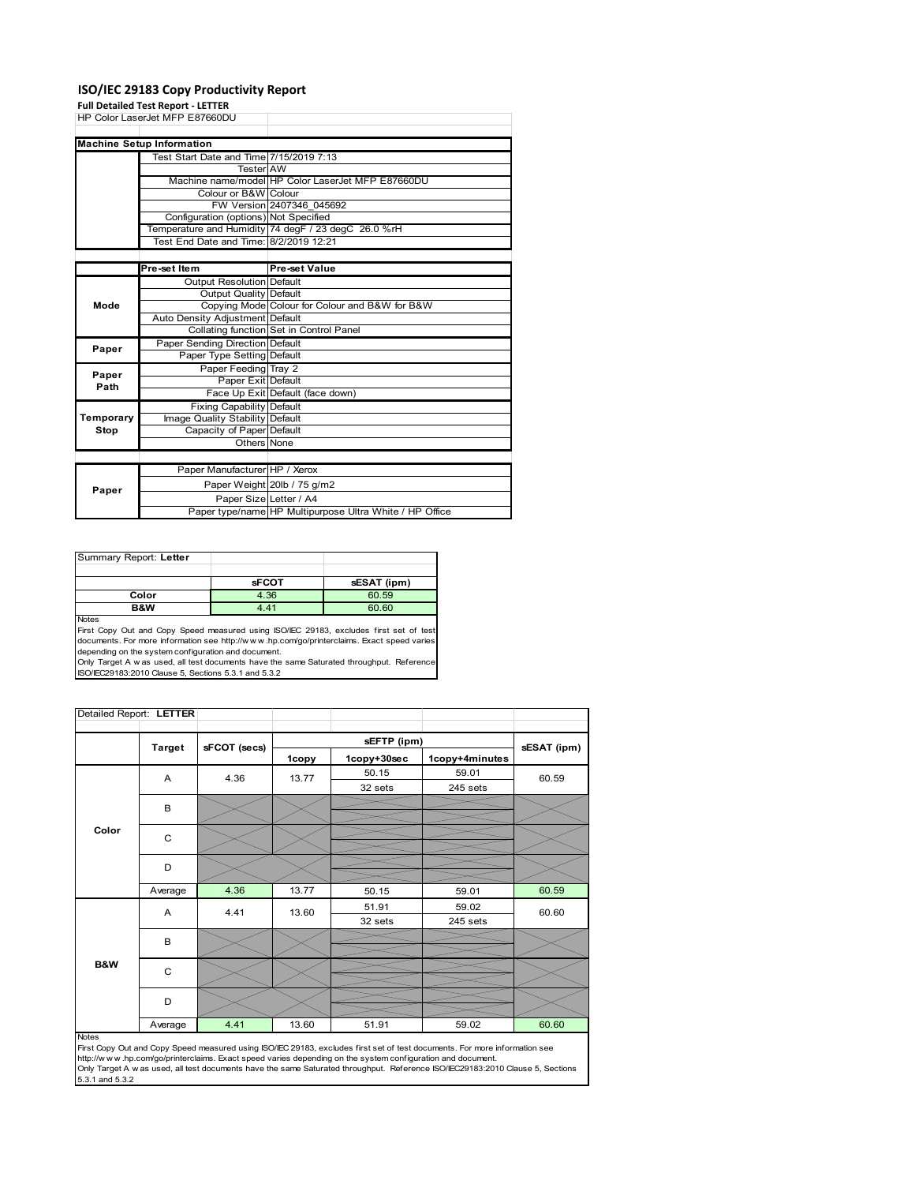### **ISO/IEC 29183 Copy Productivity Report**

**Full Detailed Test Report ‐ LETTER**

| HP Color LaserJet MFP E87660DU   |                                                                                                                                                                                                                                                                                                                                                                                                                                                                                                                                                                         |
|----------------------------------|-------------------------------------------------------------------------------------------------------------------------------------------------------------------------------------------------------------------------------------------------------------------------------------------------------------------------------------------------------------------------------------------------------------------------------------------------------------------------------------------------------------------------------------------------------------------------|
|                                  |                                                                                                                                                                                                                                                                                                                                                                                                                                                                                                                                                                         |
| <b>Machine Setup Information</b> |                                                                                                                                                                                                                                                                                                                                                                                                                                                                                                                                                                         |
|                                  |                                                                                                                                                                                                                                                                                                                                                                                                                                                                                                                                                                         |
|                                  |                                                                                                                                                                                                                                                                                                                                                                                                                                                                                                                                                                         |
|                                  | Machine name/model HP Color LaserJet MFP E87660DU                                                                                                                                                                                                                                                                                                                                                                                                                                                                                                                       |
|                                  |                                                                                                                                                                                                                                                                                                                                                                                                                                                                                                                                                                         |
|                                  | FW Version 2407346 045692                                                                                                                                                                                                                                                                                                                                                                                                                                                                                                                                               |
|                                  |                                                                                                                                                                                                                                                                                                                                                                                                                                                                                                                                                                         |
|                                  |                                                                                                                                                                                                                                                                                                                                                                                                                                                                                                                                                                         |
|                                  |                                                                                                                                                                                                                                                                                                                                                                                                                                                                                                                                                                         |
|                                  |                                                                                                                                                                                                                                                                                                                                                                                                                                                                                                                                                                         |
| Pre-set Item                     | Pre-set Value                                                                                                                                                                                                                                                                                                                                                                                                                                                                                                                                                           |
| <b>Output Resolution Default</b> |                                                                                                                                                                                                                                                                                                                                                                                                                                                                                                                                                                         |
|                                  |                                                                                                                                                                                                                                                                                                                                                                                                                                                                                                                                                                         |
|                                  | Copying Mode Colour for Colour and B&W for B&W                                                                                                                                                                                                                                                                                                                                                                                                                                                                                                                          |
|                                  |                                                                                                                                                                                                                                                                                                                                                                                                                                                                                                                                                                         |
|                                  |                                                                                                                                                                                                                                                                                                                                                                                                                                                                                                                                                                         |
|                                  |                                                                                                                                                                                                                                                                                                                                                                                                                                                                                                                                                                         |
|                                  |                                                                                                                                                                                                                                                                                                                                                                                                                                                                                                                                                                         |
|                                  |                                                                                                                                                                                                                                                                                                                                                                                                                                                                                                                                                                         |
|                                  |                                                                                                                                                                                                                                                                                                                                                                                                                                                                                                                                                                         |
|                                  | Face Up Exit Default (face down)                                                                                                                                                                                                                                                                                                                                                                                                                                                                                                                                        |
|                                  |                                                                                                                                                                                                                                                                                                                                                                                                                                                                                                                                                                         |
|                                  |                                                                                                                                                                                                                                                                                                                                                                                                                                                                                                                                                                         |
|                                  |                                                                                                                                                                                                                                                                                                                                                                                                                                                                                                                                                                         |
|                                  |                                                                                                                                                                                                                                                                                                                                                                                                                                                                                                                                                                         |
|                                  |                                                                                                                                                                                                                                                                                                                                                                                                                                                                                                                                                                         |
| Paper Manufacturer HP / Xerox    |                                                                                                                                                                                                                                                                                                                                                                                                                                                                                                                                                                         |
|                                  | Paper Weight 20lb / 75 g/m2                                                                                                                                                                                                                                                                                                                                                                                                                                                                                                                                             |
| Paper Size Letter / A4           |                                                                                                                                                                                                                                                                                                                                                                                                                                                                                                                                                                         |
|                                  | Paper type/name HP Multipurpose Ultra White / HP Office                                                                                                                                                                                                                                                                                                                                                                                                                                                                                                                 |
|                                  | Test Start Date and Time 7/15/2019 7:13<br>Tester AW<br>Colour or B&W Colour<br>Configuration (options) Not Specified<br>Temperature and Humidity 74 degF / 23 degC 26.0 %rH<br>Test End Date and Time: 8/2/2019 12:21<br><b>Output Quality Default</b><br>Auto Density Adjustment Default<br>Collating function Set in Control Panel<br>Paper Sending Direction Default<br>Paper Type Setting Default<br>Paper Feeding Tray 2<br>Paper Exit Default<br><b>Fixing Capability Default</b><br>Image Quality Stability Default<br>Capacity of Paper Default<br>Others None |

| Summary Report: Letter |              |             |
|------------------------|--------------|-------------|
|                        |              |             |
|                        | <b>sFCOT</b> | sESAT (ipm) |
| Color                  | 4.36         | 60.59       |
| B&W                    | 4.41         | 60.60       |
| <b>Notes</b>           |              |             |

Notes<br>First Copy Out and Copy Speed measured using ISO/IEC 29183, excludes first set of test<br>documents. For more information see http://www..hp.com/go/printerclaims. Exact speed varies

depending on the system configuration and document.<br>Only Target A w as used, all test documents have the same Saturated throughput. Reference<br>ISO/IEC29183:2010 Clause 5, Sections 5.3.1 and 5.3.2

| Detailed Report: LETTER |               |              |       |             |                |             |
|-------------------------|---------------|--------------|-------|-------------|----------------|-------------|
|                         |               |              |       | sEFTP (ipm) |                |             |
|                         | <b>Target</b> | sFCOT (secs) | 1copy | 1copy+30sec | 1copy+4minutes | sESAT (ipm) |
|                         | A             | 4.36         | 13.77 | 50.15       | 59.01          | 60.59       |
|                         |               |              |       | 32 sets     | 245 sets       |             |
|                         | B             |              |       |             |                |             |
|                         |               |              |       |             |                |             |
| Color                   | C             |              |       |             |                |             |
|                         |               |              |       |             |                |             |
|                         | D             |              |       |             |                |             |
|                         | Average       | 4.36         | 13.77 | 50.15       | 59.01          | 60.59       |
|                         | A             | 4.41         | 13.60 | 51.91       | 59.02          | 60.60       |
|                         |               |              |       | 32 sets     | 245 sets       |             |
|                         | B             |              |       |             |                |             |
|                         |               |              |       |             |                |             |
| <b>B&amp;W</b>          | C             |              |       |             |                |             |
|                         |               |              |       |             |                |             |
|                         | D             |              |       |             |                |             |
|                         | Average       | 4.41         | 13.60 | 51.91       | 59.02          | 60.60       |

#### Notes

First Copy Out and Copy Speed measured using ISO/IEC 29183, excludes first set of test documents. For more information see<br>http://w w w.hp.com/go/printerclaims. Exact speed varies depending on the system configuration and 5.3.1 and 5.3.2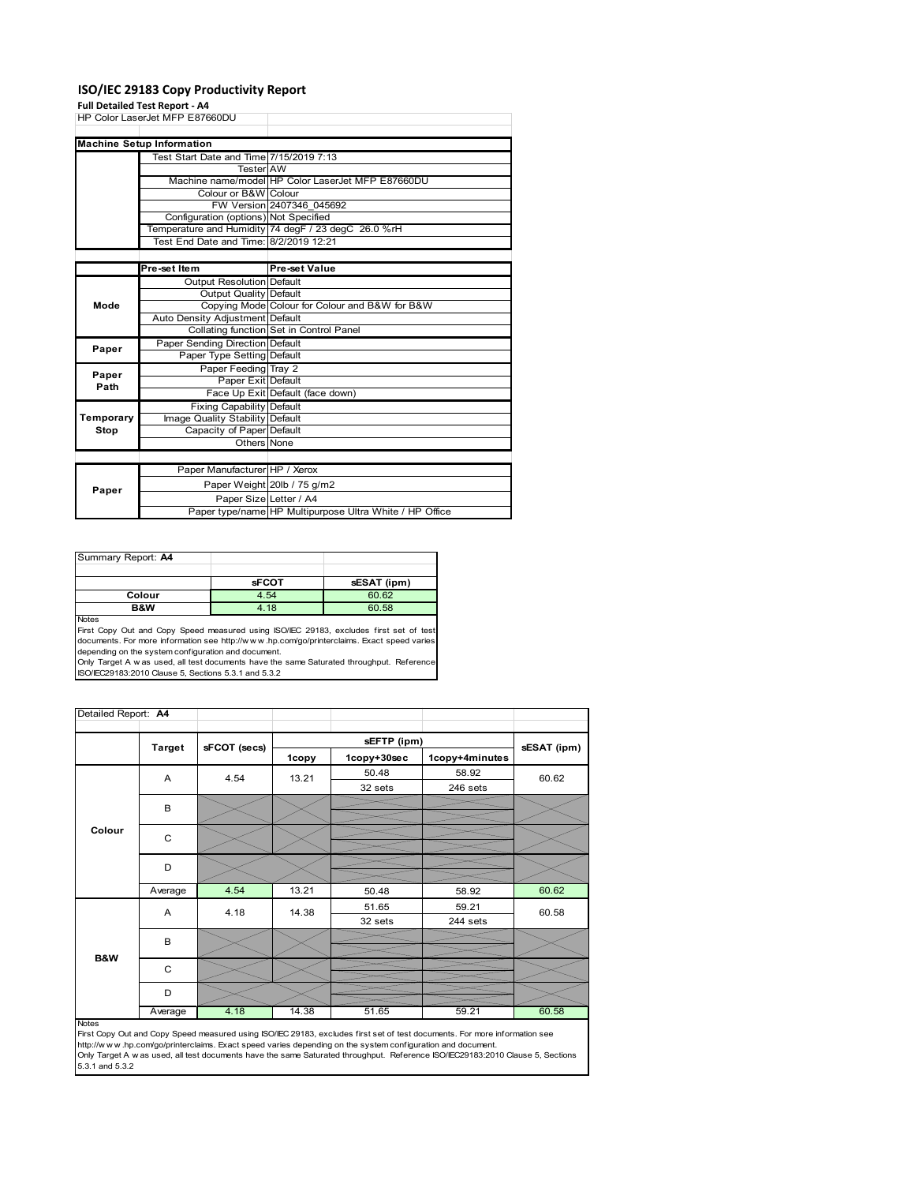### **ISO/IEC 29183 Copy Productivity Report**

**Full Detailed Test Report ‐ A4**

|           | run betanca Test Report - A+            |                                                         |
|-----------|-----------------------------------------|---------------------------------------------------------|
|           | HP Color LaserJet MFP E87660DU          |                                                         |
|           |                                         |                                                         |
|           | <b>Machine Setup Information</b>        |                                                         |
|           | Test Start Date and Time 7/15/2019 7:13 |                                                         |
|           | <b>Tester AW</b>                        |                                                         |
|           |                                         | Machine name/model HP Color LaserJet MFP E87660DU       |
|           | Colour or B&W Colour                    |                                                         |
|           |                                         | FW Version 2407346 045692                               |
|           | Configuration (options) Not Specified   |                                                         |
|           |                                         | Temperature and Humidity 74 degF / 23 degC 26.0 %rH     |
|           | Test End Date and Time: 8/2/2019 12:21  |                                                         |
|           |                                         |                                                         |
|           | Pre-set Item                            | <b>Pre-set Value</b>                                    |
|           | <b>Output Resolution Default</b>        |                                                         |
|           | <b>Output Quality Default</b>           |                                                         |
| Mode      |                                         | Copying Mode Colour for Colour and B&W for B&W          |
|           | Auto Density Adjustment Default         |                                                         |
|           |                                         | Collating function Set in Control Panel                 |
| Paper     | Paper Sending Direction Default         |                                                         |
|           | Paper Type Setting Default              |                                                         |
| Paper     | Paper Feeding Tray 2                    |                                                         |
| Path      | Paper Exit Default                      |                                                         |
|           |                                         | Face Up Exit Default (face down)                        |
|           | <b>Fixing Capability Default</b>        |                                                         |
| Temporary | Image Quality Stability Default         |                                                         |
| Stop      | Capacity of Paper Default               |                                                         |
|           | Others None                             |                                                         |
|           |                                         |                                                         |
|           | Paper Manufacturer HP / Xerox           |                                                         |
| Paper     |                                         | Paper Weight 20lb / 75 g/m2                             |
|           | Paper Size Letter / A4                  |                                                         |
|           |                                         | Paper type/name HP Multipurpose Ultra White / HP Office |

| Summary Report: A4 |              |             |
|--------------------|--------------|-------------|
|                    |              |             |
|                    | <b>sFCOT</b> | sESAT (ipm) |
| Colour             | 4.54         | 60.62       |
| B&W                | 4.18         | 60.58       |
| <b>Notes</b>       |              |             |

Notes<br>First Copy Out and Copy Speed measured using ISO/IEC 29183, excludes first set of test<br>documents. For more information see http://www.hp.com/go/printerclaims. Exact speed varies<br>depending on the system configuration

| Detailed Report: A4 |               |              |       |             |                |             |
|---------------------|---------------|--------------|-------|-------------|----------------|-------------|
|                     |               |              |       | sEFTP (ipm) |                |             |
|                     | <b>Target</b> | sFCOT (secs) | 1copy | 1copy+30sec | 1copy+4minutes | sESAT (ipm) |
|                     | Α             | 4.54         | 13.21 | 50.48       | 58.92          | 60.62       |
|                     |               |              |       | 32 sets     | 246 sets       |             |
|                     | B             |              |       |             |                |             |
| Colour              |               |              |       |             |                |             |
|                     | C             |              |       |             |                |             |
|                     | D             |              |       |             |                |             |
|                     |               |              |       |             |                |             |
|                     | Average       | 4.54         | 13.21 | 50.48       | 58.92          | 60.62       |
|                     | A             | 4.18         | 14.38 | 51.65       | 59.21          | 60.58       |
|                     |               |              |       | 32 sets     | 244 sets       |             |
|                     | B             |              |       |             |                |             |
| B&W                 |               |              |       |             |                |             |
|                     | C             |              |       |             |                |             |
|                     | D             |              |       |             |                |             |
|                     | Average       | 4.18         | 14.38 | 51.65       | 59.21          | 60.58       |

http://w.w.w..hp.com/go/printerclaims. Exact speed varies depending on the system configuration and document.<br>Only Target A w as used, all test documents have the same Saturated throughput. Reference ISO/IEC29183:2010 Cla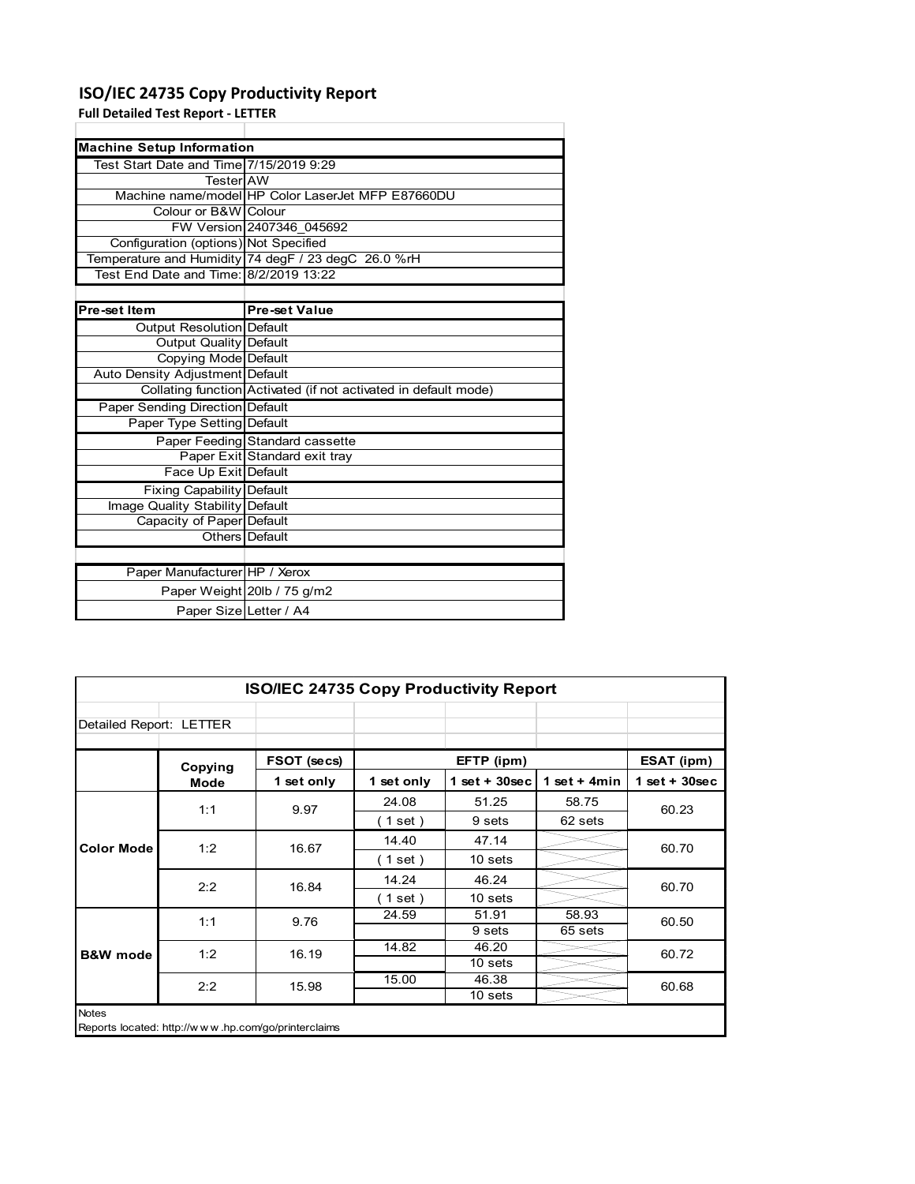### **ISO/IEC 24735 Copy Productivity Report**

**Full Detailed Test Report ‐ LETTER**

|                                         | <b>Machine Setup Information</b>                                |  |  |  |  |  |
|-----------------------------------------|-----------------------------------------------------------------|--|--|--|--|--|
| Test Start Date and Time 7/15/2019 9:29 |                                                                 |  |  |  |  |  |
| TesterIAW                               |                                                                 |  |  |  |  |  |
|                                         | Machine name/model HP Color LaserJet MFP E87660DU               |  |  |  |  |  |
| Colour or B&W Colour                    |                                                                 |  |  |  |  |  |
|                                         | FW Version 2407346 045692                                       |  |  |  |  |  |
| Configuration (options) Not Specified   |                                                                 |  |  |  |  |  |
|                                         | Temperature and Humidity 74 degF / 23 degC 26.0 %rH             |  |  |  |  |  |
| Test End Date and Time: 8/2/2019 13:22  |                                                                 |  |  |  |  |  |
|                                         |                                                                 |  |  |  |  |  |
| Pre-set Item                            | <b>Pre-set Value</b>                                            |  |  |  |  |  |
| Output Resolution Default               |                                                                 |  |  |  |  |  |
| <b>Output Quality Default</b>           |                                                                 |  |  |  |  |  |
| Copying Mode Default                    |                                                                 |  |  |  |  |  |
| Auto Density Adjustment Default         |                                                                 |  |  |  |  |  |
|                                         | Collating function Activated (if not activated in default mode) |  |  |  |  |  |
| Paper Sending Direction Default         |                                                                 |  |  |  |  |  |
| Paper Type Setting Default              |                                                                 |  |  |  |  |  |
|                                         | Paper Feeding Standard cassette                                 |  |  |  |  |  |
|                                         | Paper Exit Standard exit tray                                   |  |  |  |  |  |
| Face Up Exit Default                    |                                                                 |  |  |  |  |  |
| <b>Fixing Capability Default</b>        |                                                                 |  |  |  |  |  |
| Image Quality Stability Default         |                                                                 |  |  |  |  |  |
| Capacity of Paper Default               |                                                                 |  |  |  |  |  |
|                                         | Others Default                                                  |  |  |  |  |  |
|                                         |                                                                 |  |  |  |  |  |
| Paper Manufacturer HP / Xerox           |                                                                 |  |  |  |  |  |
|                                         | Paper Weight 20lb / 75 g/m2                                     |  |  |  |  |  |
| Paper Size Letter / A4                  |                                                                 |  |  |  |  |  |

|                         | ISO/IEC 24735 Copy Productivity Report              |             |            |                 |                |                  |  |  |
|-------------------------|-----------------------------------------------------|-------------|------------|-----------------|----------------|------------------|--|--|
| Detailed Report: LETTER |                                                     |             |            |                 |                |                  |  |  |
|                         | Copying                                             | FSOT (secs) |            | EFTP (ipm)      |                | ESAT (ipm)       |  |  |
|                         | Mode                                                | 1 set only  | 1 set only | $1$ set + 30sec | 1 set $+$ 4min | $1 set + 30 sec$ |  |  |
|                         | 1:1                                                 | 9.97        | 24.08      | 51.25           | 58.75          | 60.23            |  |  |
| <b>Color Mode</b>       |                                                     |             | (1 set)    | 9 sets          | 62 sets        |                  |  |  |
|                         | 1:2                                                 | 16.67       | 14.40      | 47.14           |                | 60.70            |  |  |
|                         |                                                     |             | (1 set)    | 10 sets         |                |                  |  |  |
|                         | 2:2                                                 | 16.84       | 14.24      | 46.24           |                | 60.70            |  |  |
|                         |                                                     |             | (1 set)    | 10 sets         |                |                  |  |  |
|                         | 1:1                                                 | 9.76        | 24.59      | 51.91           | 58.93          | 60.50            |  |  |
|                         |                                                     |             |            | 9 sets          | 65 sets        |                  |  |  |
| <b>B&amp;W</b> mode     | 1:2                                                 | 16.19       | 14.82      | 46.20           |                | 60.72            |  |  |
|                         |                                                     |             |            | 10 sets         |                |                  |  |  |
|                         | 2:2                                                 | 15.98       | 15.00      | 46.38           |                | 60.68            |  |  |
|                         |                                                     |             |            | 10 sets         |                |                  |  |  |
| <b>Notes</b>            | Reports located: http://www.hp.com/go/printerclaims |             |            |                 |                |                  |  |  |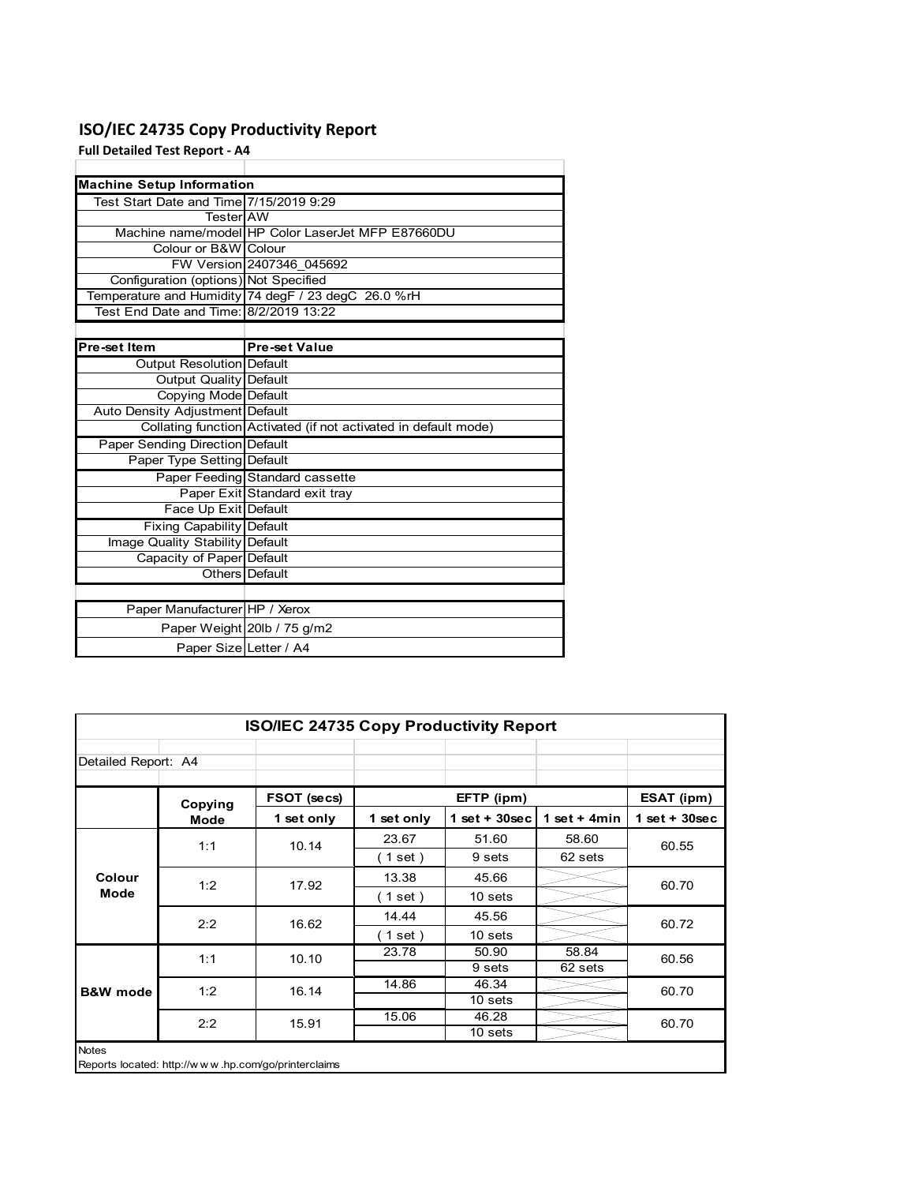### **ISO/IEC 24735 Copy Productivity Report**

**Full Detailed Test Report ‐ A4**

| <b>Machine Setup Information</b>        |                                                                 |
|-----------------------------------------|-----------------------------------------------------------------|
| Test Start Date and Time 7/15/2019 9:29 |                                                                 |
| TesterIAW                               |                                                                 |
|                                         | Machine name/model HP Color LaserJet MFP E87660DU               |
| Colour or B&W Colour                    |                                                                 |
|                                         | FW Version 2407346 045692                                       |
| Configuration (options) Not Specified   |                                                                 |
|                                         | Temperature and Humidity 74 degF / 23 degC 26.0 %rH             |
| Test End Date and Time: 8/2/2019 13:22  |                                                                 |
|                                         |                                                                 |
| Pre-set Item                            | <b>Pre-set Value</b>                                            |
| Output Resolution Default               |                                                                 |
| <b>Output Quality Default</b>           |                                                                 |
| Copying Mode Default                    |                                                                 |
| Auto Density Adjustment Default         |                                                                 |
|                                         | Collating function Activated (if not activated in default mode) |
| <b>Paper Sending Direction Default</b>  |                                                                 |
| Paper Type Setting Default              |                                                                 |
|                                         | Paper Feeding Standard cassette                                 |
|                                         | Paper Exit Standard exit tray                                   |
| Face Up Exit Default                    |                                                                 |
| <b>Fixing Capability Default</b>        |                                                                 |
| Image Quality Stability Default         |                                                                 |
| Capacity of Paper Default               |                                                                 |
|                                         | Others Default                                                  |
|                                         |                                                                 |
| Paper Manufacturer HP / Xerox           |                                                                 |
|                                         | Paper Weight 20lb / 75 g/m2                                     |
| Paper Size Letter / A4                  |                                                                 |

| <b>ISO/IEC 24735 Copy Productivity Report</b> |             |                                                     |                          |                 |                 |                 |  |
|-----------------------------------------------|-------------|-----------------------------------------------------|--------------------------|-----------------|-----------------|-----------------|--|
| Detailed Report: A4                           |             |                                                     |                          |                 |                 |                 |  |
|                                               | Copying     | FSOT (secs)                                         |                          | EFTP (ipm)      |                 | ESAT (ipm)      |  |
|                                               | <b>Mode</b> | 1 set only                                          | 1 set only               | $1$ set + 30sec | 1 set $+$ 4 min | $1$ set + 30sec |  |
|                                               | 1:1         | 10.14                                               | 23.67                    | 51.60           | 58.60           | 60.55           |  |
| Colour                                        |             |                                                     | (1 set)                  | 9 sets          | 62 sets         |                 |  |
|                                               | 1:2         | 17.92                                               | 13.38                    | 45.66           |                 | 60.70           |  |
| <b>Mode</b>                                   |             |                                                     | (1 set)                  | 10 sets         |                 |                 |  |
|                                               | 2:2         | 16.62                                               | 14.44                    | 45.56           |                 | 60.72           |  |
|                                               |             |                                                     | $\left( 1$ set $\right)$ | 10 sets         |                 |                 |  |
|                                               | 1:1         | 10.10                                               | 23.78                    | 50.90           | 58.84           | 60.56           |  |
|                                               |             |                                                     |                          | 9 sets          | 62 sets         |                 |  |
| <b>B&amp;W</b> mode                           | 1:2         | 16.14                                               | 14.86                    | 46.34           |                 | 60.70           |  |
|                                               |             |                                                     |                          | 10 sets         |                 |                 |  |
|                                               | 2:2         | 15.91                                               | 15.06                    | 46.28           |                 | 60.70           |  |
|                                               |             |                                                     |                          | 10 sets         |                 |                 |  |
| <b>Notes</b>                                  |             | Reports located: http://www.hp.com/go/printerclaims |                          |                 |                 |                 |  |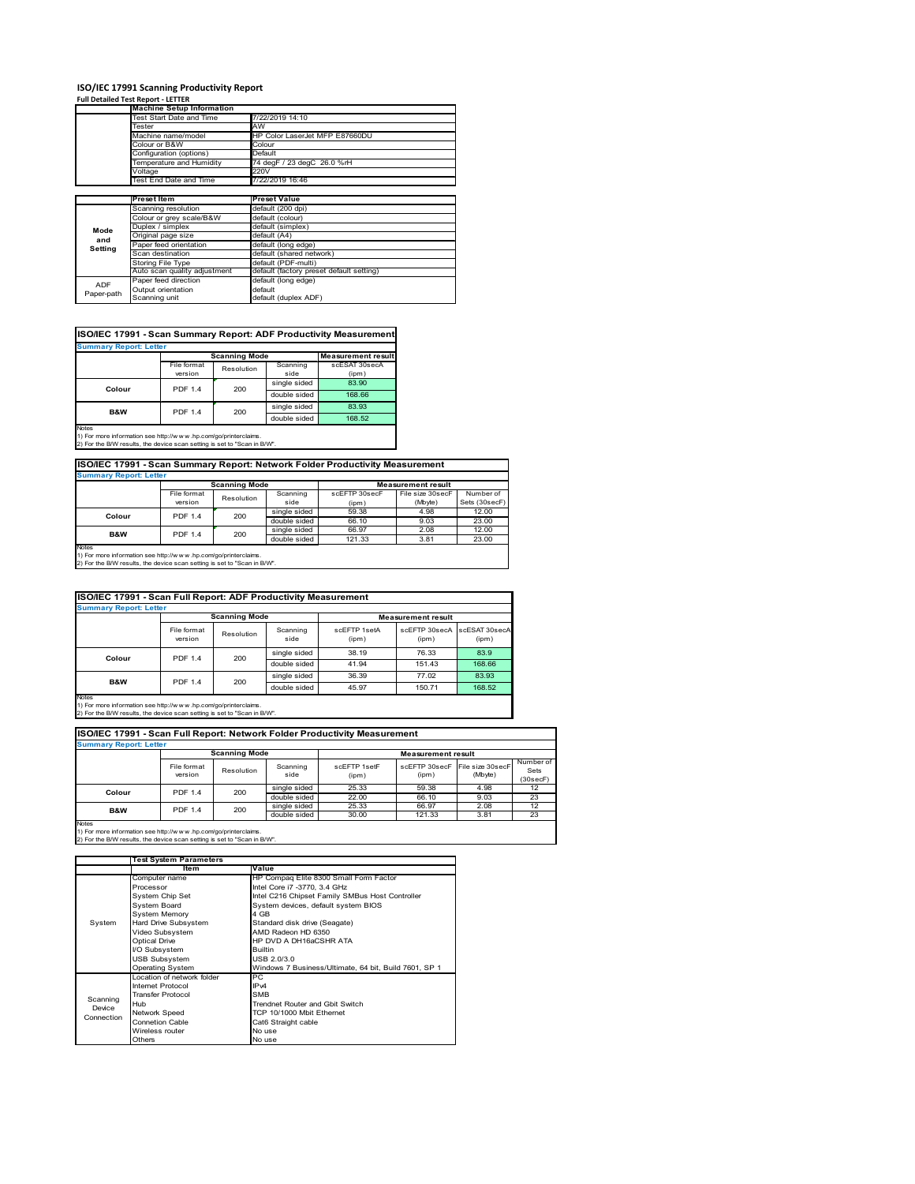# **ISO/IEC 17991 Scanning Productivity Report Full Detailed Test Report ‐ LETTER Machine Setup Information**

|            | <b>Machine Setup Information</b> |                                          |
|------------|----------------------------------|------------------------------------------|
|            | <b>Test Start Date and Time</b>  | 7/22/2019 14:10                          |
|            | Tester                           | AW                                       |
|            | Machine name/model               | HP Color LaserJet MFP E87660DU           |
|            | Colour or B&W                    | Colour                                   |
|            | Configuration (options)          | Default                                  |
|            | emperature and Humidity          | 74 degF / 23 degC 26.0 %rH               |
|            | Voltage                          | 220V                                     |
|            | Test End Date and Time           | 7/22/2019 16:46                          |
|            |                                  |                                          |
|            | <b>Preset Item</b>               | <b>Preset Value</b>                      |
|            | Scanning resolution              | default (200 dpi)                        |
|            | Colour or grey scale/B&W         | default (colour)                         |
| Mode       | Duplex / simplex                 | default (simplex)                        |
|            | Original page size               | default (A4)                             |
| and        | Paper feed orientation           | default (long edge)                      |
| Setting    | Scan destination                 | default (shared network)                 |
|            | Storing File Type                | default (PDF-multi)                      |
|            | Auto scan quality adjustment     | default (factory preset default setting) |
|            | Paper feed direction             | default (long edge)                      |
| <b>ADF</b> |                                  |                                          |
| Paper-path | Output orientation               | default                                  |

|                               |                |                      |              | ISO/IEC 17991 - Scan Summary Report: ADF Productivity Measurement |  |  |  |  |
|-------------------------------|----------------|----------------------|--------------|-------------------------------------------------------------------|--|--|--|--|
| <b>Summary Report: Letter</b> |                |                      |              |                                                                   |  |  |  |  |
|                               |                | <b>Scanning Mode</b> |              | <b>Measurement result</b>                                         |  |  |  |  |
|                               | File format    | Resolution           | Scanning     | scESAT 30secA                                                     |  |  |  |  |
|                               | version        |                      | side         | (ipm)                                                             |  |  |  |  |
|                               | <b>PDF 1.4</b> | 200                  | single sided | 83.90                                                             |  |  |  |  |
| Colour                        |                |                      | double sided | 168.66                                                            |  |  |  |  |
| B&W                           | <b>PDF 1.4</b> | 200                  | single sided | 83.93                                                             |  |  |  |  |
|                               |                |                      | double sided | 168.52                                                            |  |  |  |  |
| <b>Notes</b>                  |                |                      |              |                                                                   |  |  |  |  |

Notes 1) For more information see http://w w w .hp.com/go/printerclaims. 2) For the B/W results, the device scan setting is set to "Scan in B/W".

**ISO/IEC 17991 - Scan Summary Report: Network Folder Productivity Measurement**

| <b>Summary Report: Letter</b> |                           |          |               |                           |           |               |
|-------------------------------|---------------------------|----------|---------------|---------------------------|-----------|---------------|
|                               | <b>Scanning Mode</b>      |          |               | <b>Measurement result</b> |           |               |
|                               | File format<br>Resolution | Scanning | scEETP 30secE | File size 30secF          | Number of |               |
|                               | version                   |          | side          | (ipm)                     | (Mbyte)   | Sets (30secF) |
| Colour                        | <b>PDF 1.4</b>            | 200      | single sided  | 59.38                     | 4.98      | 12.00         |
|                               |                           |          | double sided  | 66.10                     | 9.03      | 23.00         |
| <b>B&amp;W</b>                | <b>PDF 1.4</b>            | 200      | single sided  | 66.97                     | 2.08      | 12.00         |
|                               |                           |          | double sided  | 121.33                    | 3.81      | 23.00         |
| <b>Notes</b>                  |                           |          |               |                           |           |               |

┓

Notes 1) For more information see http://w w w .hp.com/go/printerclaims. 2) For the B/W results, the device scan setting is set to "Scan in B/W".

| ISO/IEC 17991 - Scan Full Report: ADF Productivity Measurement |                                                   |            |                  |                       |                        |                        |  |  |
|----------------------------------------------------------------|---------------------------------------------------|------------|------------------|-----------------------|------------------------|------------------------|--|--|
|                                                                | <b>Summary Report: Letter</b>                     |            |                  |                       |                        |                        |  |  |
|                                                                | <b>Scanning Mode</b><br><b>Measurement result</b> |            |                  |                       |                        |                        |  |  |
|                                                                | File format<br>version                            | Resolution | Scanning<br>side | scFFTP 1setA<br>(ipm) | scEFTP 30secA<br>(ipm) | scESAT 30secA<br>(ipm) |  |  |
| Colour                                                         | <b>PDF 1.4</b>                                    | 200        | single sided     | 38.19                 | 76.33                  | 83.9                   |  |  |
|                                                                |                                                   |            | double sided     | 41.94                 | 151.43                 | 168.66                 |  |  |
| <b>B&amp;W</b>                                                 | <b>PDF 1.4</b>                                    | 200        | single sided     | 36.39                 | 77.02                  | 83.93                  |  |  |
|                                                                |                                                   |            | double sided     | 45.97                 | 150.71                 | 168.52                 |  |  |
| <b>Notes</b>                                                   |                                                   |            |                  |                       |                        |                        |  |  |

Notes 1) For more information see http://w w w .hp.com/go/printerclaims. 2) For the B/W results, the device scan setting is set to "Scan in B/W".

| ISO/IEC 17991 - Scan Full Report: Network Folder Productivity Measurement |                        |            |                  |                       |                        |                             |                               |  |
|---------------------------------------------------------------------------|------------------------|------------|------------------|-----------------------|------------------------|-----------------------------|-------------------------------|--|
| <b>Summary Report: Letter</b>                                             |                        |            |                  |                       |                        |                             |                               |  |
| <b>Scanning Mode</b><br><b>Measurement result</b>                         |                        |            |                  |                       |                        |                             |                               |  |
|                                                                           | File format<br>version | Resolution | Scanning<br>side | scFFTP 1setF<br>(ipm) | scEFTP 30secF<br>(ipm) | File size 30secF<br>(Mbyte) | Number of<br>Sets<br>(30secF) |  |
| Colour                                                                    | 200<br>PDF 1.4         |            | single sided     | 25.33                 | 59.38                  | 4.98                        | 12                            |  |
|                                                                           |                        |            | double sided     | 22.00                 | 66.10                  | 9.03                        | 23                            |  |
| <b>B&amp;W</b>                                                            | <b>PDF 1.4</b>         | 200        | single sided     | 25.33                 | 66.97                  | 2.08                        | 12                            |  |
|                                                                           |                        |            | double sided     | 30.00                 | 121.33                 | 3.81                        | 23                            |  |
| <b>Notes</b>                                                              |                        |            |                  |                       |                        |                             |                               |  |

|            | <b>Test System Parameters</b> |                                                       |  |  |
|------------|-------------------------------|-------------------------------------------------------|--|--|
|            | Item                          | Value                                                 |  |  |
|            | Computer name                 | HP Compaq Elite 8300 Small Form Factor                |  |  |
|            | Processor                     | Intel Core i7 -3770, 3.4 GHz                          |  |  |
|            | System Chip Set               | Intel C216 Chipset Family SMBus Host Controller       |  |  |
|            | <b>System Board</b>           | System devices, default system BIOS                   |  |  |
|            | <b>System Memory</b>          | 4 GB                                                  |  |  |
| System     | Hard Drive Subsystem          | Standard disk drive (Seagate)                         |  |  |
|            | Video Subsystem               | AMD Radeon HD 6350                                    |  |  |
|            | <b>Optical Drive</b>          | HP DVD A DH16aCSHR ATA                                |  |  |
|            | I/O Subsystem                 | <b>Builtin</b>                                        |  |  |
|            | <b>USB Subsystem</b>          | USB 2.0/3.0                                           |  |  |
|            | <b>Operating System</b>       | Windows 7 Business/Ultimate, 64 bit, Build 7601, SP 1 |  |  |
|            | I ocation of network folder   | PC.                                                   |  |  |
|            | Internet Protocol             | IP <sub>v4</sub>                                      |  |  |
| Scanning   | <b>Transfer Protocol</b>      | <b>SMB</b>                                            |  |  |
| Device     | Hub                           | Trendnet Router and Gbit Switch                       |  |  |
| Connection | Network Speed                 | TCP 10/1000 Mbit Ethernet                             |  |  |
|            | <b>Connetion Cable</b>        | Cat6 Straight cable                                   |  |  |
|            | Wireless router               | No use                                                |  |  |
|            | Others                        | No use                                                |  |  |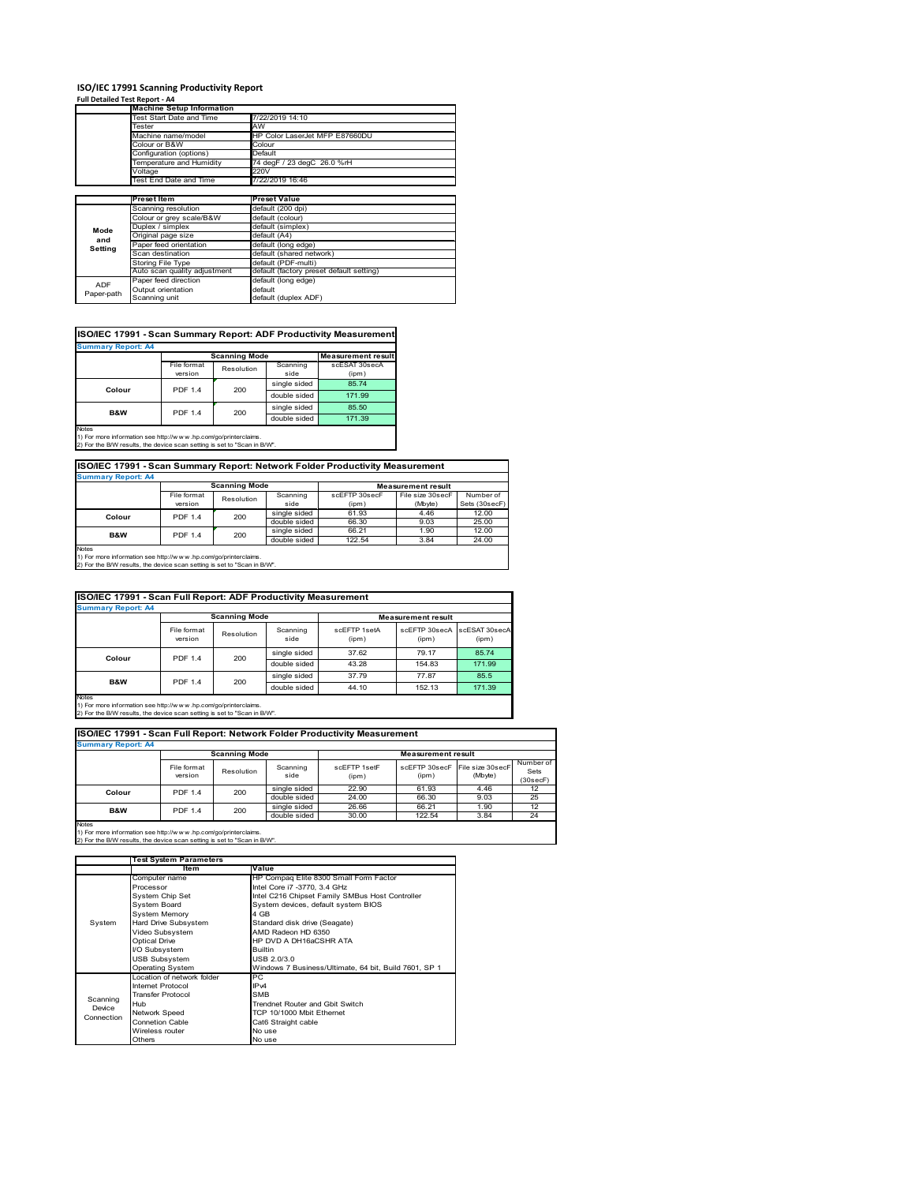### **ISO/IEC 17991 Scanning Productivity Report**

**Full Detailed Test Report ‐ A4**

|            | <b>Machine Setup Information</b> |                                          |
|------------|----------------------------------|------------------------------------------|
|            | Test Start Date and Time         | 7/22/2019 14:10                          |
|            | Tester                           | AW                                       |
|            | Machine name/model               | HP Color LaserJet MFP E87660DU           |
|            | Colour or B&W                    | Colour                                   |
|            | Configuration (options)          | Default                                  |
|            | Temperature and Humidity         | 74 degF / 23 degC 26.0 %rH               |
|            | Voltage                          | 220V                                     |
|            | Test End Date and Time           | 7/22/2019 16:46                          |
|            |                                  |                                          |
|            | Preset Item                      | <b>Preset Value</b>                      |
|            | Scanning resolution              | default (200 dpi)                        |
|            | Colour or grey scale/B&W         | default (colour)                         |
| Mode       | Duplex / simplex                 | default (simplex)                        |
|            | Original page size               | default (A4)                             |
| and        | Paper feed orientation           | default (long edge)                      |
| Setting    | Scan destination                 | default (shared network)                 |
|            | <b>Storing File Type</b>         | default (PDF-multi)                      |
|            | Auto scan quality adjustment     | default (factory preset default setting) |
| <b>ADF</b> | Paper feed direction             | default (long edge)                      |
|            | Output orientation               | default                                  |
| Paper-path | Scanning unit                    | default (duplex ADF)                     |

|                           |                |                      |              | ISO/IEC 17991 - Scan Summary Report: ADF Productivity Measurement |
|---------------------------|----------------|----------------------|--------------|-------------------------------------------------------------------|
| <b>Summary Report: A4</b> |                |                      |              |                                                                   |
|                           |                | <b>Scanning Mode</b> |              | <b>Measurement result</b>                                         |
|                           | File format    | Resolution           | Scanning     | scESAT 30secA                                                     |
|                           | version        |                      | side         | (ipm)                                                             |
| Colour                    | <b>PDF 1.4</b> | 200                  | single sided | 85.74                                                             |
|                           |                |                      | double sided | 171.99                                                            |
| <b>B&amp;W</b>            | <b>PDF 1.4</b> | 200                  | single sided | 85.50                                                             |
|                           |                |                      | double sided | 171.39                                                            |
| <b>Notes</b>              |                |                      |              |                                                                   |

Notes 1) For more information see http://w w w .hp.com/go/printerclaims. 2) For the B/W results, the device scan setting is set to "Scan in B/W".

| ISO/IEC 17991 - Scan Summary Report: Network Folder Productivity Measurement |                      |  |                           |  |  |  |  |
|------------------------------------------------------------------------------|----------------------|--|---------------------------|--|--|--|--|
| <b>Summary Report: A4</b>                                                    |                      |  |                           |  |  |  |  |
|                                                                              | <b>Scanning Mode</b> |  | <b>Measurement result</b> |  |  |  |  |
|                                                                              |                      |  |                           |  |  |  |  |

|              | File format    | Resolution | Scanning     | scEFTP 30secF | File size 30secF | Number of     |
|--------------|----------------|------------|--------------|---------------|------------------|---------------|
|              | version        |            | side         | (ipm)         | (Mbyte)          | Sets (30secF) |
| Colour       | <b>PDF 1.4</b> | 200        | single sided | 61.93         | 4.46             | 12.00         |
|              |                |            | double sided | 66.30         | 9.03             | 25.00         |
| B&W          | <b>PDF 1.4</b> | 200        | single sided | 66.21         | 1.90             | 12.00         |
|              |                |            | double sided | 122.54        | 3.84             | 24.00         |
| <b>Notes</b> |                |            |              |               |                  |               |

Notes 1) For more information see http://w w w .hp.com/go/printerclaims. 2) For the B/W results, the device scan setting is set to "Scan in B/W".

| ISO/IEC 17991 - Scan Full Report: ADF Productivity Measurement |                        |                      |                  |                       |                                      |        |  |  |
|----------------------------------------------------------------|------------------------|----------------------|------------------|-----------------------|--------------------------------------|--------|--|--|
| <b>Summary Report: A4</b>                                      |                        |                      |                  |                       |                                      |        |  |  |
|                                                                |                        | <b>Scanning Mode</b> |                  |                       | <b>Measurement result</b>            |        |  |  |
|                                                                | File format<br>version | Resolution           | Scanning<br>side | scFFTP 1setA<br>(ipm) | scEFTP 30secA scESAT 30secA<br>(ipm) | (ipm)  |  |  |
| Colour                                                         | <b>PDF 1.4</b>         | 200                  | single sided     | 37.62                 | 79.17                                | 85.74  |  |  |
|                                                                |                        |                      | double sided     | 43.28                 | 154.83                               | 171.99 |  |  |
| <b>B&amp;W</b>                                                 |                        |                      | single sided     | 37.79                 | 77.87                                | 85.5   |  |  |
|                                                                | <b>PDF 1.4</b><br>200  |                      | double sided     | 44.10                 | 152.13                               | 171.39 |  |  |
| Notes                                                          |                        |                      |                  |                       |                                      |        |  |  |

Notes 1) For more information see http://w w w .hp.com/go/printerclaims. 2) For the B/W results, the device scan setting is set to "Scan in B/W".

| ISO/IEC 17991 - Scan Full Report: Network Folder Productivity Measurement<br><b>Summary Report: A4</b> |                        |                      |                  |                       |                           |                             |                               |  |  |
|--------------------------------------------------------------------------------------------------------|------------------------|----------------------|------------------|-----------------------|---------------------------|-----------------------------|-------------------------------|--|--|
|                                                                                                        |                        | <b>Scanning Mode</b> |                  |                       | <b>Measurement result</b> |                             |                               |  |  |
|                                                                                                        | File format<br>version | Resolution           | Scanning<br>side | scEFTP 1setF<br>(ipm) | scEFTP 30secF<br>(ipm)    | File size 30secF<br>(Mbyte) | Number of<br>Sets<br>(30secF) |  |  |
| Colour                                                                                                 | <b>PDF 1.4</b>         | 200                  | single sided     | 22.90                 | 61.93                     | 4.46                        | 12                            |  |  |
|                                                                                                        |                        |                      | double sided     | 24.00                 | 66.30                     | 9.03                        | 25                            |  |  |
| <b>B&amp;W</b>                                                                                         | <b>PDF 1.4</b>         | 200                  | single sided     | 26.66                 | 66.21                     | 1.90                        | 12                            |  |  |
|                                                                                                        |                        |                      | double sided     | 30.00                 | 122.54                    | 3.84                        | 24                            |  |  |
| Notes                                                                                                  |                        |                      |                  |                       |                           |                             |                               |  |  |

|                                  | <b>Test System Parameters</b>                                                                                                                                                                            |                                                                                                                                                                                                                                                                                            |
|----------------------------------|----------------------------------------------------------------------------------------------------------------------------------------------------------------------------------------------------------|--------------------------------------------------------------------------------------------------------------------------------------------------------------------------------------------------------------------------------------------------------------------------------------------|
|                                  | Item                                                                                                                                                                                                     | Value                                                                                                                                                                                                                                                                                      |
| System                           | Computer name<br>Processor<br>System Chip Set<br><b>System Board</b><br><b>System Memory</b><br>Hard Drive Subsystem<br>Video Subsystem<br><b>Optical Drive</b><br>I/O Subsystem<br><b>USB Subsystem</b> | HP Compaq Elite 8300 Small Form Factor<br>Intel Core i7 -3770, 3.4 GHz<br>Intel C216 Chipset Family SMBus Host Controller<br>System devices, default system BIOS<br>4 GB<br>Standard disk drive (Seagate)<br>AMD Radeon HD 6350<br>HP DVD A DH16aCSHR ATA<br><b>Builtin</b><br>USB 2.0/3.0 |
|                                  | <b>Operating System</b>                                                                                                                                                                                  | Windows 7 Business/Ultimate, 64 bit, Build 7601, SP 1                                                                                                                                                                                                                                      |
| Scanning<br>Device<br>Connection | I ocation of network folder<br>Internet Protocol<br><b>Transfer Protocol</b><br>Hub<br>Network Speed<br>Connetion Cable<br>Wireless router<br>Others                                                     | PC.<br>IP <sub>v4</sub><br><b>SMB</b><br>Trendnet Router and Gbit Switch<br>TCP 10/1000 Mbit Ethernet<br>Cat6 Straight cable<br>No use<br>No use                                                                                                                                           |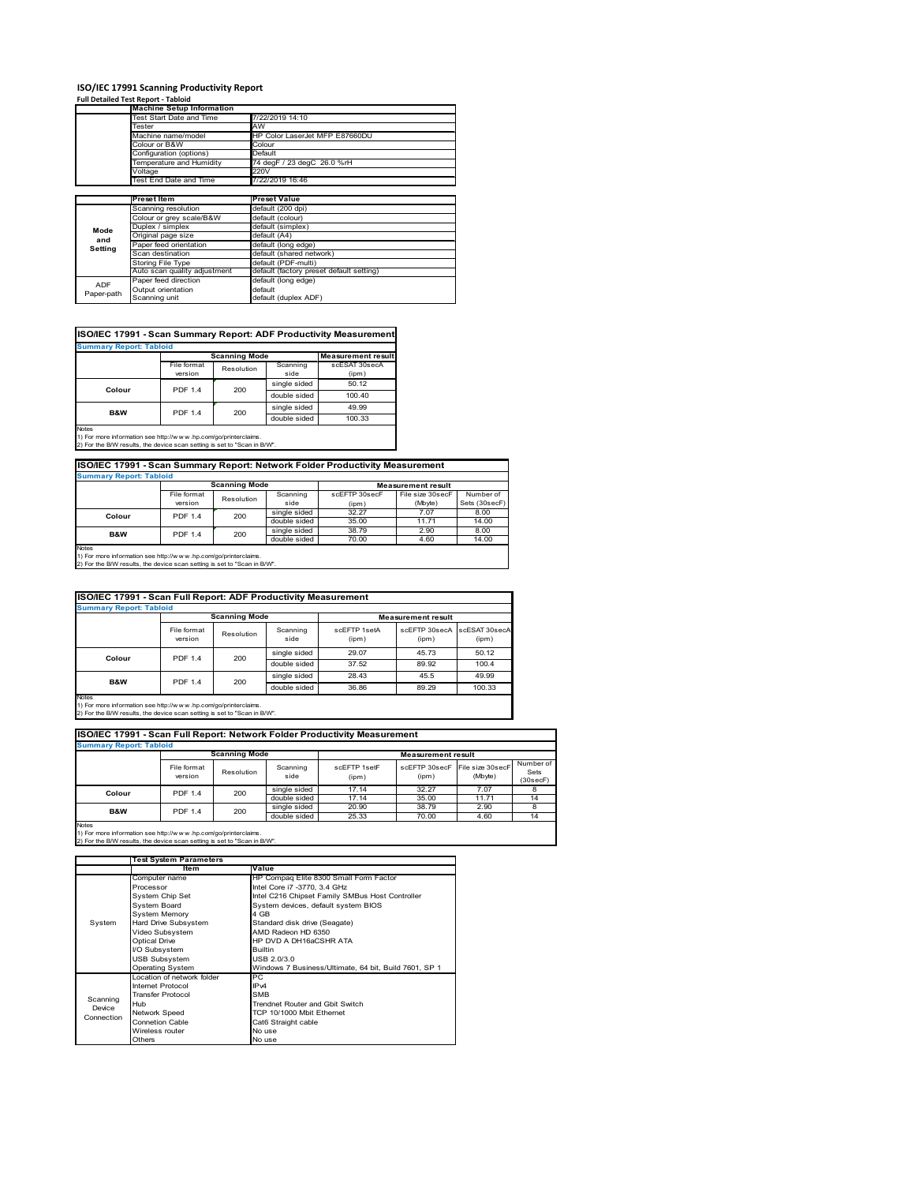# **ISO/IEC 17991 Scanning Productivity Report Full Detailed Test Report ‐ Tabloid Machine Setup Information**

|            | <b>Machine Setup Information</b> |                                          |
|------------|----------------------------------|------------------------------------------|
|            | Test Start Date and Time         | 7/22/2019 14:10                          |
|            | Tester                           | AW                                       |
|            | Machine name/model               | HP Color LaserJet MFP E87660DU           |
|            | Colour or B&W                    | Colour                                   |
|            | Configuration (options)          | Default                                  |
|            | Temperature and Humidity         | 74 degF / 23 degC 26.0 %rH               |
|            | Voltage                          | 220V                                     |
|            | Test End Date and Time           | 7/22/2019 16:46                          |
|            |                                  |                                          |
|            | Preset Item                      | <b>Preset Value</b>                      |
|            | Scanning resolution              | default (200 dpi)                        |
|            | Colour or grey scale/B&W         | default (colour)                         |
| Mode       | Duplex / simplex                 | default (simplex)                        |
|            | Original page size               | default (A4)                             |
| and        | Paper feed orientation           | default (long edge)                      |
| Setting    | Scan destination                 | default (shared network)                 |
|            | <b>Storing File Type</b>         | default (PDF-multi)                      |
|            | Auto scan quality adjustment     | default (factory preset default setting) |
| <b>ADF</b> | Paper feed direction             | default (long edge)                      |
|            | Output orientation               | default                                  |
| Paper-path | Scanning unit                    | default (duplex ADF)                     |

| <b>Summary Report: Tabloid</b> |                |                      |              |                           |
|--------------------------------|----------------|----------------------|--------------|---------------------------|
|                                |                | <b>Scanning Mode</b> |              | <b>Measurement result</b> |
|                                | File format    | Resolution           | Scanning     | scESAT 30secA             |
|                                | version        |                      | side         | (ipm)                     |
| Colour                         | <b>PDF 1.4</b> | 200                  | single sided | 50.12                     |
|                                |                |                      | double sided | 100.40                    |
| <b>B&amp;W</b>                 | <b>PDF 1.4</b> | 200                  | single sided | 49.99                     |
|                                |                |                      | double sided | 100.33                    |

1) For more information see http://w w w .hp.com/go/printerclaims. 2) For the B/W results, the device scan setting is set to "Scan in B/W".

| ISO/IEC 17991 - Scan Summary Report: Network Folder Productivity Measurement |                |                      |              |               |                           |               |  |
|------------------------------------------------------------------------------|----------------|----------------------|--------------|---------------|---------------------------|---------------|--|
| <b>Summary Report: Tabloid</b>                                               |                |                      |              |               |                           |               |  |
|                                                                              |                | <b>Scanning Mode</b> |              |               | <b>Measurement result</b> |               |  |
|                                                                              | File format    | Resolution           | Scanning     | scEFTP 30secF | File size 30secF          | Number of     |  |
|                                                                              | version        |                      | side         | (ipm)         | (Mbyte)                   | Sets (30secF) |  |
| Colour                                                                       | <b>PDF 1.4</b> | 200                  | single sided | 32.27         | 7.07                      | 8.00          |  |
|                                                                              |                |                      | double sided | 35.00         | 11.71                     | 14.00         |  |
| <b>B&amp;W</b>                                                               | <b>PDF 1.4</b> | 200                  | single sided | 38.79         | 2.90                      | 8.00          |  |
|                                                                              |                |                      | double sided | 70.00         | 4.60                      | 14.00         |  |
| hlatan                                                                       |                |                      |              |               |                           |               |  |

Notes 1) For more information see http://w w w .hp.com/go/printerclaims. 2) For the B/W results, the device scan setting is set to "Scan in B/W".

| ISO/IEC 17991 - Scan Full Report: ADF Productivity Measurement<br><b>Summary Report: Tabloid</b>                                                               |                        |            |                  |                           |                        |                        |
|----------------------------------------------------------------------------------------------------------------------------------------------------------------|------------------------|------------|------------------|---------------------------|------------------------|------------------------|
|                                                                                                                                                                | <b>Scanning Mode</b>   |            |                  | <b>Measurement result</b> |                        |                        |
|                                                                                                                                                                | File format<br>version | Resolution | Scanning<br>side | scFFTP 1setA<br>(ipm)     | scEETP 30secA<br>(ipm) | scESAT 30secA<br>(ipm) |
|                                                                                                                                                                | <b>PDF 1.4</b>         | 200        | single sided     | 29.07                     | 45.73                  | 50.12                  |
| Colour                                                                                                                                                         |                        |            | double sided     | 37.52                     | 89.92                  | 100.4                  |
|                                                                                                                                                                |                        |            | single sided     | 28.43                     | 45.5                   | 49.99                  |
| <b>B&amp;W</b>                                                                                                                                                 | <b>PDF 1.4</b>         | 200        | double sided     | 36.86                     | 89.29                  | 100.33                 |
| <b>Notes</b><br>1) For more information see http://w w w .hp.com/go/printerclaims.<br>2) For the B/W results, the device scan setting is set to "Scan in B/W". |                        |            |                  |                           |                        |                        |

|                                | ISO/IEC 17991 - Scan Full Report: Network Folder Productivity Measurement |                      |                  |                       |                                         |         |                               |  |  |
|--------------------------------|---------------------------------------------------------------------------|----------------------|------------------|-----------------------|-----------------------------------------|---------|-------------------------------|--|--|
| <b>Summary Report: Tabloid</b> |                                                                           |                      |                  |                       |                                         |         |                               |  |  |
|                                |                                                                           | <b>Scanning Mode</b> |                  |                       | <b>Measurement result</b>               |         |                               |  |  |
|                                | File format<br>version                                                    | Resolution           | Scanning<br>side | scFFTP 1setF<br>(ipm) | scEFTP 30secF File size 30secF<br>(ipm) | (Mbyte) | Number of<br>Sets<br>(30secF) |  |  |
| Colour                         | <b>PDF 1.4</b>                                                            | 200                  | single sided     | 17.14                 | 32.27                                   | 7.07    |                               |  |  |
|                                |                                                                           |                      | double sided     | 17.14                 | 35.00                                   | 11.71   | 14                            |  |  |
| <b>B&amp;W</b>                 | <b>PDF 1.4</b>                                                            | 200                  | single sided     | 20.90                 | 38.79                                   | 2.90    |                               |  |  |
|                                |                                                                           |                      | double sided     | 25.33                 | 70.00                                   | 4.60    | 14                            |  |  |
| <b>Notes</b>                   |                                                                           |                      |                  |                       |                                         |         |                               |  |  |

|            | <b>Test System Parameters</b> |                                                       |  |  |
|------------|-------------------------------|-------------------------------------------------------|--|--|
|            | Item                          | Value                                                 |  |  |
|            | Computer name                 | HP Compaq Elite 8300 Small Form Factor                |  |  |
|            | Processor                     | Intel Core i7 -3770, 3.4 GHz                          |  |  |
|            | System Chip Set               | Intel C216 Chipset Family SMBus Host Controller       |  |  |
|            | <b>System Board</b>           | System devices, default system BIOS                   |  |  |
|            | <b>System Memory</b>          | 4 GB                                                  |  |  |
| System     | Hard Drive Subsystem          | Standard disk drive (Seagate)                         |  |  |
|            | Video Subsystem               | AMD Radeon HD 6350                                    |  |  |
|            | <b>Optical Drive</b>          | HP DVD A DH16aCSHR ATA                                |  |  |
|            | I/O Subsystem                 | <b>Builtin</b>                                        |  |  |
|            | <b>USB Subsystem</b>          | USB 2.0/3.0                                           |  |  |
|            | Operating System              | Windows 7 Business/Ultimate, 64 bit, Build 7601, SP 1 |  |  |
|            | I ocation of network folder   | <b>PC</b>                                             |  |  |
|            | Internet Protocol             | IP <sub>v4</sub>                                      |  |  |
| Scanning   | <b>Transfer Protocol</b>      | <b>SMB</b>                                            |  |  |
| Device     | Hub                           | Trendnet Router and Gbit Switch                       |  |  |
| Connection | Network Speed                 | TCP 10/1000 Mbit Ethernet                             |  |  |
|            | Connetion Cable               | Cat6 Straight cable                                   |  |  |
|            | Wireless router               | No use                                                |  |  |
|            | Others                        | No use                                                |  |  |